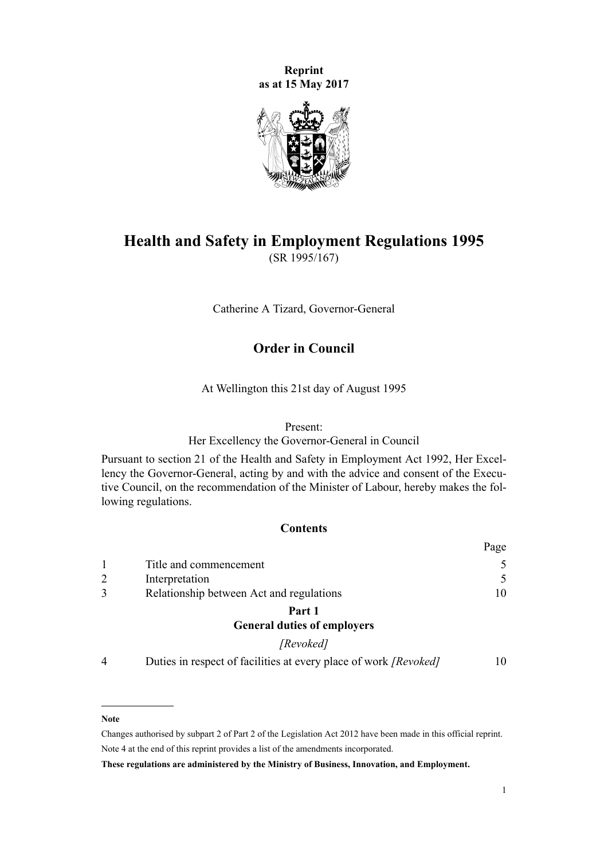**Reprint as at 15 May 2017**



# **Health and Safety in Employment Regulations 1995** (SR 1995/167)

Catherine A Tizard, Governor-General

## **Order in Council**

At Wellington this 21st day of August 1995

#### Present:

Her Excellency the Governor-General in Council

Pursuant to [section 21](http://prd-lgnz-nlb.prd.pco.net.nz/pdflink.aspx?id=DLM279280) of the Health and Safety in Employment Act 1992, Her Excellency the Governor-General, acting by and with the advice and consent of the Executive Council, on the recommendation of the Minister of Labour, hereby makes the following regulations.

## **Contents**

|                |                                          | rage |
|----------------|------------------------------------------|------|
|                | Title and commencement                   | 5    |
| $\overline{2}$ | Interpretation                           | .5   |
| 3              | Relationship between Act and regulations | 10   |
|                | Part 1                                   |      |
|                | <b>General duties of employers</b>       |      |
|                | [Revoked]                                |      |

[4](#page-9-0) [Duties in respect of facilities at every place of work](#page-9-0) *[Revoked]* [10](#page-9-0)

## **Note**

Changes authorised by [subpart 2](http://prd-lgnz-nlb.prd.pco.net.nz/pdflink.aspx?id=DLM2998524) of Part 2 of the Legislation Act 2012 have been made in this official reprint. Note 4 at the end of this reprint provides a list of the amendments incorporated.

**These regulations are administered by the Ministry of Business, Innovation, and Employment.**

 $\mathbf{p}$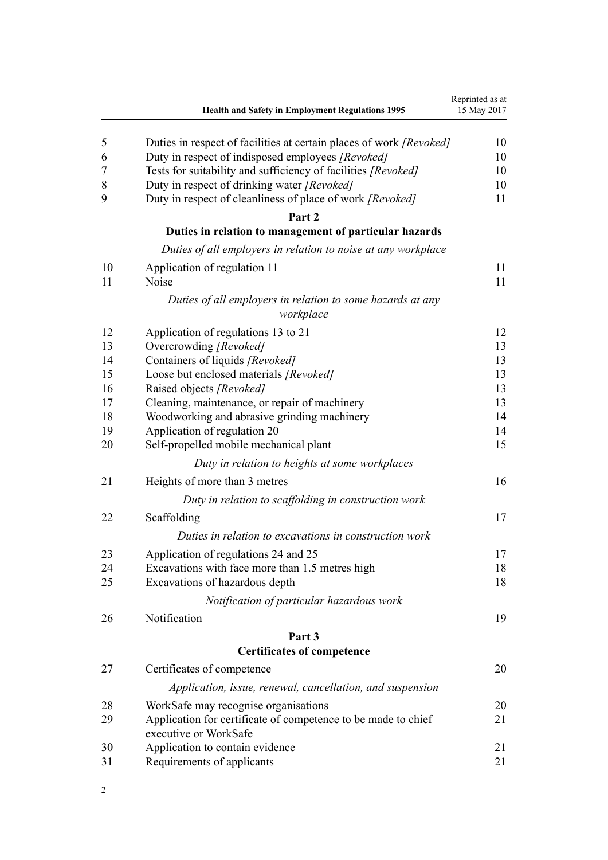|    | Health and Safety in Employment Regulations 1995                                       | Reprinted as at<br>15 May 2017 |
|----|----------------------------------------------------------------------------------------|--------------------------------|
| 5  | Duties in respect of facilities at certain places of work [Revoked]                    | 10                             |
| 6  | Duty in respect of indisposed employees [Revoked]                                      | 10                             |
| 7  | Tests for suitability and sufficiency of facilities [Revoked]                          | 10                             |
| 8  | Duty in respect of drinking water [Revoked]                                            | 10                             |
| 9  | Duty in respect of cleanliness of place of work [Revoked]                              | 11                             |
|    | Part 2                                                                                 |                                |
|    | Duties in relation to management of particular hazards                                 |                                |
|    | Duties of all employers in relation to noise at any workplace                          |                                |
| 10 | Application of regulation 11                                                           | 11                             |
| 11 | Noise                                                                                  | 11                             |
|    | Duties of all employers in relation to some hazards at any<br>workplace                |                                |
| 12 | Application of regulations 13 to 21                                                    | 12                             |
| 13 | Overcrowding [Revoked]                                                                 | 13                             |
| 14 | Containers of liquids [Revoked]                                                        | 13                             |
| 15 | Loose but enclosed materials [Revoked]                                                 | 13                             |
| 16 | Raised objects [Revoked]                                                               | 13                             |
| 17 | Cleaning, maintenance, or repair of machinery                                          | 13                             |
| 18 | Woodworking and abrasive grinding machinery                                            | 14                             |
| 19 | Application of regulation 20                                                           | 14                             |
| 20 | Self-propelled mobile mechanical plant                                                 | 15                             |
|    | Duty in relation to heights at some workplaces                                         |                                |
| 21 | Heights of more than 3 metres                                                          | 16                             |
|    | Duty in relation to scaffolding in construction work                                   |                                |
| 22 | Scaffolding                                                                            | 17                             |
|    | Duties in relation to excavations in construction work                                 |                                |
| 23 | Application of regulations 24 and 25                                                   | 17                             |
| 24 | Excavations with face more than 1.5 metres high                                        | 18                             |
| 25 | Excavations of hazardous depth                                                         | 18                             |
|    | Notification of particular hazardous work                                              |                                |
| 26 | Notification                                                                           | 19                             |
|    | Part 3                                                                                 |                                |
|    | <b>Certificates of competence</b>                                                      |                                |
| 27 | Certificates of competence                                                             | 20                             |
|    | Application, issue, renewal, cancellation, and suspension                              |                                |
| 28 | WorkSafe may recognise organisations                                                   | 20                             |
| 29 | Application for certificate of competence to be made to chief<br>executive or WorkSafe | 21                             |
| 30 | Application to contain evidence                                                        | 21                             |
| 31 | Requirements of applicants                                                             | 21                             |
|    |                                                                                        |                                |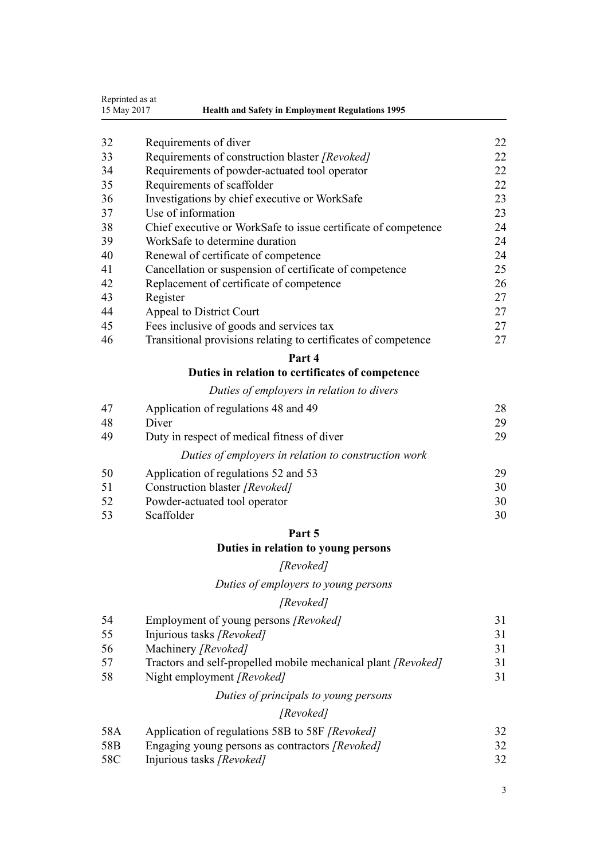|             | Reprinted as at                                                                                  |    |
|-------------|--------------------------------------------------------------------------------------------------|----|
| 15 May 2017 | <b>Health and Safety in Employment Regulations 1995</b>                                          |    |
| 32          | Requirements of diver                                                                            | 22 |
| 33          | Requirements of construction blaster [Revoked]                                                   | 22 |
| 34          | Requirements of powder-actuated tool operator                                                    | 22 |
| 35          | Requirements of scaffolder                                                                       | 22 |
| 36          |                                                                                                  | 23 |
| 37          | Investigations by chief executive or WorkSafe<br>Use of information                              | 23 |
| 38          |                                                                                                  | 24 |
| 39          | Chief executive or WorkSafe to issue certificate of competence<br>WorkSafe to determine duration | 24 |
| 40          |                                                                                                  |    |
| 41          | Renewal of certificate of competence                                                             | 24 |
|             | Cancellation or suspension of certificate of competence                                          | 25 |
| 42          | Replacement of certificate of competence                                                         | 26 |
| 43          | Register                                                                                         | 27 |
| 44          | Appeal to District Court                                                                         | 27 |
| 45          | Fees inclusive of goods and services tax                                                         | 27 |
| 46          | Transitional provisions relating to certificates of competence                                   | 27 |
|             | Part 4                                                                                           |    |
|             | Duties in relation to certificates of competence                                                 |    |
|             | Duties of employers in relation to divers                                                        |    |
| 47          | Application of regulations 48 and 49                                                             | 28 |
| 48          | Diver                                                                                            | 29 |
| 49          | Duty in respect of medical fitness of diver                                                      | 29 |
|             | Duties of employers in relation to construction work                                             |    |
| 50          | Application of regulations 52 and 53                                                             | 29 |
| 51          | Construction blaster [Revoked]                                                                   | 30 |
| 52          | Powder-actuated tool operator                                                                    | 30 |
| 53          | Scaffolder                                                                                       | 30 |

## **[Part 5](#page-30-0)**

# **[Duties in relation to young persons](#page-30-0)**

# *[Revoked]*

*[Duties of employers to young persons](#page-30-0)*

# *[Revoked]*

| 54              | Employment of young persons [Revoked]                         | 31 |
|-----------------|---------------------------------------------------------------|----|
| 55              | Injurious tasks [Revoked]                                     | 31 |
| 56              | Machinery [Revoked]                                           | 31 |
| 57              | Tractors and self-propelled mobile mechanical plant [Revoked] | 31 |
| 58              | Night employment [Revoked]                                    | 31 |
|                 | Duties of principals to young persons                         |    |
|                 | [Revoked]                                                     |    |
| 58A             | Application of regulations 58B to 58F [Revoked]               | 32 |
| 58 <sub>B</sub> | Engaging young persons as contractors [Revoked]               | 32 |
| 58C             | Injurious tasks [Revoked]                                     | 32 |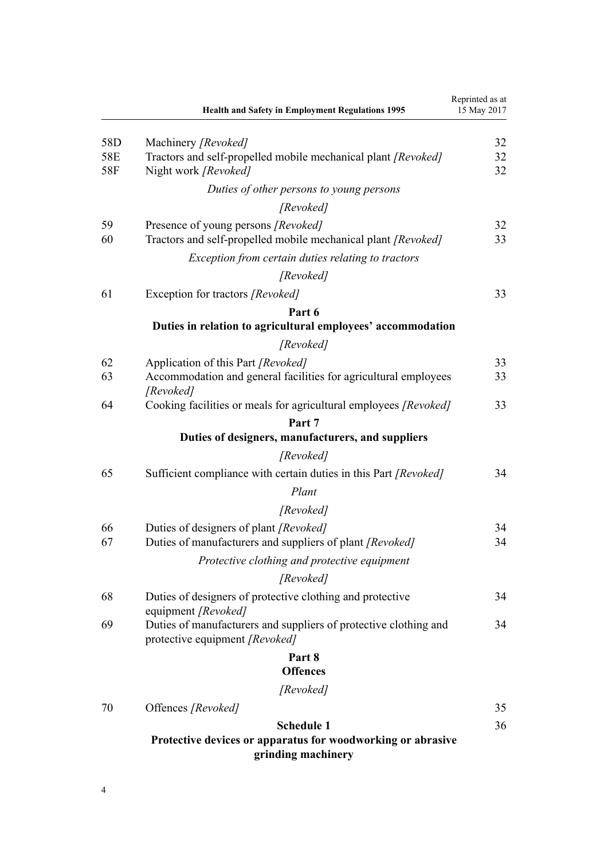|                   | <b>Health and Safety in Employment Regulations 1995</b>                                                            | Reprinted as at<br>15 May 2017 |
|-------------------|--------------------------------------------------------------------------------------------------------------------|--------------------------------|
| 58D<br>58E<br>58F | Machinery [Revoked]<br>Tractors and self-propelled mobile mechanical plant [Revoked]<br>Night work [Revoked]       | 32<br>32<br>32                 |
|                   | Duties of other persons to young persons                                                                           |                                |
|                   | [Revoked]                                                                                                          |                                |
| 59<br>60          | Presence of young persons [Revoked]<br>Tractors and self-propelled mobile mechanical plant [Revoked]               | 32<br>33                       |
|                   | Exception from certain duties relating to tractors                                                                 |                                |
|                   | [Revoked]                                                                                                          |                                |
| 61                | Exception for tractors [Revoked]                                                                                   | 33                             |
|                   | Part 6                                                                                                             |                                |
|                   | Duties in relation to agricultural employees' accommodation                                                        |                                |
|                   | [Revoked]                                                                                                          |                                |
| 62<br>63          | Application of this Part [Revoked]<br>Accommodation and general facilities for agricultural employees<br>[Revoked] | 33<br>33                       |
| 64                | Cooking facilities or meals for agricultural employees [Revoked]                                                   | 33                             |
|                   | Part 7                                                                                                             |                                |
|                   | Duties of designers, manufacturers, and suppliers                                                                  |                                |
|                   | [Revoked]                                                                                                          |                                |
| 65                | Sufficient compliance with certain duties in this Part [Revoked]<br>Plant                                          | 34                             |
|                   | [Revoked]                                                                                                          |                                |
| 66<br>67          | Duties of designers of plant [Revoked]<br>Duties of manufacturers and suppliers of plant [Revoked]                 | 34<br>34                       |
|                   | Protective clothing and protective equipment                                                                       |                                |
|                   | [Revoked]                                                                                                          |                                |
| 68                | Duties of designers of protective clothing and protective<br>equipment [Revoked]                                   | 34                             |
| 69                | Duties of manufacturers and suppliers of protective clothing and<br>protective equipment [Revoked]                 | 34                             |
|                   | Part 8                                                                                                             |                                |
|                   | <b>Offences</b>                                                                                                    |                                |
|                   | [Revoked]                                                                                                          |                                |
| 70                | Offences [Revoked]                                                                                                 | 35                             |
|                   | <b>Schedule 1</b><br>Protective devices or apparatus for woodworking or abrasive<br>grinding machinery             | 36                             |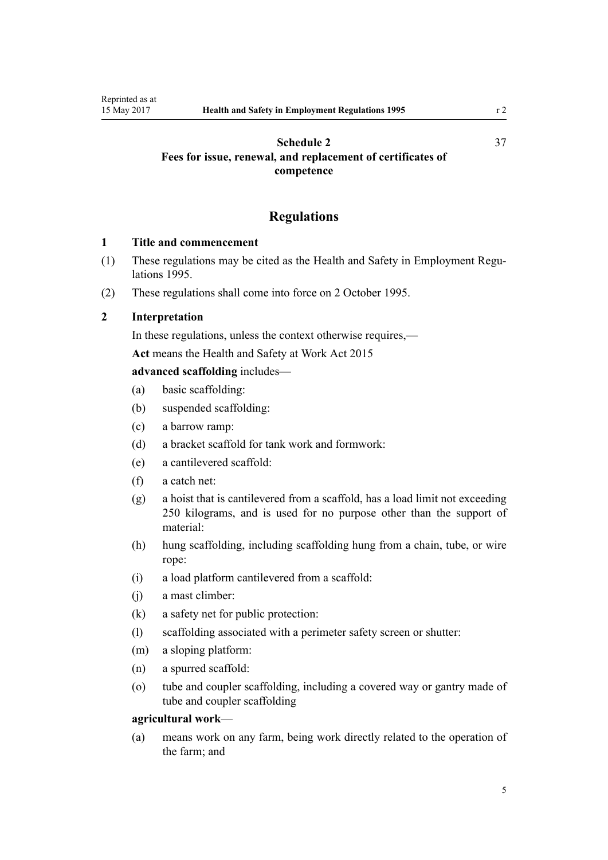## <span id="page-4-0"></span>**[Schedule 2](#page-36-0) [Fees for issue, renewal, and replacement of certificates of](#page-36-0) [competence](#page-36-0)**

## **Regulations**

## **1 Title and commencement**

- (1) These regulations may be cited as the Health and Safety in Employment Regulations 1995.
- (2) These regulations shall come into force on 2 October 1995.

## **2 Interpretation**

In these regulations, unless the context otherwise requires,—

**Act** means the [Health and Safety at Work Act 2015](http://prd-lgnz-nlb.prd.pco.net.nz/pdflink.aspx?id=DLM5976602)

## **advanced scaffolding** includes—

- (a) basic scaffolding:
- (b) suspended scaffolding:
- (c) a barrow ramp:
- (d) a bracket scaffold for tank work and formwork:
- (e) a cantilevered scaffold:
- (f) a catch net:
- (g) a hoist that is cantilevered from a scaffold, has a load limit not exceeding 250 kilograms, and is used for no purpose other than the support of material:
- (h) hung scaffolding, including scaffolding hung from a chain, tube, or wire rope:
- (i) a load platform cantilevered from a scaffold:
- (j) a mast climber:
- (k) a safety net for public protection:
- (l) scaffolding associated with a perimeter safety screen or shutter:
- (m) a sloping platform:
- (n) a spurred scaffold:
- (o) tube and coupler scaffolding, including a covered way or gantry made of tube and coupler scaffolding

#### **agricultural work**—

(a) means work on any farm, being work directly related to the operation of the farm; and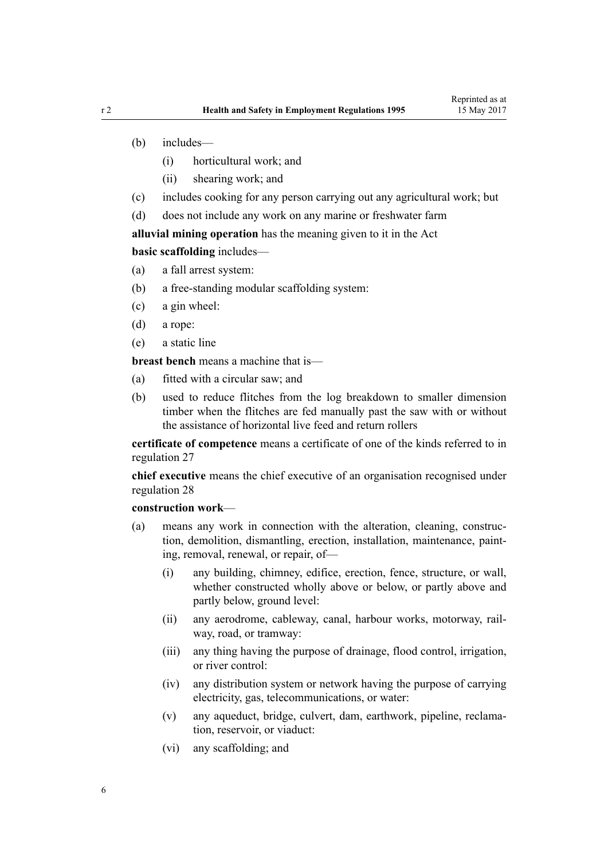- (b) includes—
	- (i) horticultural work; and
	- (ii) shearing work; and
- (c) includes cooking for any person carrying out any agricultural work; but
- (d) does not include any work on any marine or freshwater farm

**alluvial mining operation** has the meaning given to it in the Act

**basic scaffolding** includes—

- (a) a fall arrest system:
- (b) a free-standing modular scaffolding system:
- (c) a gin wheel:
- (d) a rope:
- (e) a static line

**breast bench** means a machine that is—

- (a) fitted with a circular saw; and
- (b) used to reduce flitches from the log breakdown to smaller dimension timber when the flitches are fed manually past the saw with or without the assistance of horizontal live feed and return rollers

**certificate of competence** means a certificate of one of the kinds referred to in [regulation 27](#page-19-0)

**chief executive** means the chief executive of an organisation recognised under [regulation 28](#page-19-0)

## **construction work**—

- (a) means any work in connection with the alteration, cleaning, construction, demolition, dismantling, erection, installation, maintenance, painting, removal, renewal, or repair, of—
	- (i) any building, chimney, edifice, erection, fence, structure, or wall, whether constructed wholly above or below, or partly above and partly below, ground level:
	- (ii) any aerodrome, cableway, canal, harbour works, motorway, railway, road, or tramway:
	- (iii) any thing having the purpose of drainage, flood control, irrigation, or river control:
	- (iv) any distribution system or network having the purpose of carrying electricity, gas, telecommunications, or water:
	- (v) any aqueduct, bridge, culvert, dam, earthwork, pipeline, reclamation, reservoir, or viaduct:
	- (vi) any scaffolding; and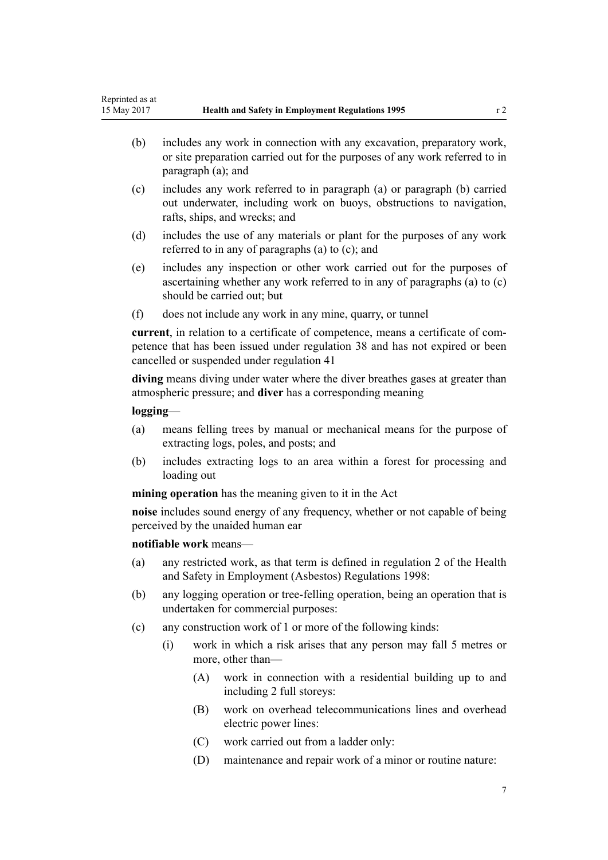- (b) includes any work in connection with any excavation, preparatory work, or site preparation carried out for the purposes of any work referred to in paragraph (a); and
- (c) includes any work referred to in paragraph (a) or paragraph (b) carried out underwater, including work on buoys, obstructions to navigation, rafts, ships, and wrecks; and
- (d) includes the use of any materials or plant for the purposes of any work referred to in any of paragraphs (a) to (c); and
- (e) includes any inspection or other work carried out for the purposes of ascertaining whether any work referred to in any of paragraphs (a) to (c) should be carried out; but
- (f) does not include any work in any mine, quarry, or tunnel

**current**, in relation to a certificate of competence, means a certificate of competence that has been issued under [regulation 38](#page-23-0) and has not expired or been cancelled or suspended under [regulation 41](#page-24-0)

**diving** means diving under water where the diver breathes gases at greater than atmospheric pressure; and **diver** has a corresponding meaning

## **logging**—

- (a) means felling trees by manual or mechanical means for the purpose of extracting logs, poles, and posts; and
- (b) includes extracting logs to an area within a forest for processing and loading out

**mining operation** has the meaning given to it in the Act

**noise** includes sound energy of any frequency, whether or not capable of being perceived by the unaided human ear

## **notifiable work** means—

- (a) any restricted work, as that term is defined in [regulation 2](http://prd-lgnz-nlb.prd.pco.net.nz/pdflink.aspx?id=DLM269523) of the Health and Safety in Employment (Asbestos) Regulations 1998:
- (b) any logging operation or tree-felling operation, being an operation that is undertaken for commercial purposes:
- (c) any construction work of 1 or more of the following kinds:
	- (i) work in which a risk arises that any person may fall 5 metres or more, other than—
		- (A) work in connection with a residential building up to and including 2 full storeys:
		- (B) work on overhead telecommunications lines and overhead electric power lines:
		- (C) work carried out from a ladder only:
		- (D) maintenance and repair work of a minor or routine nature: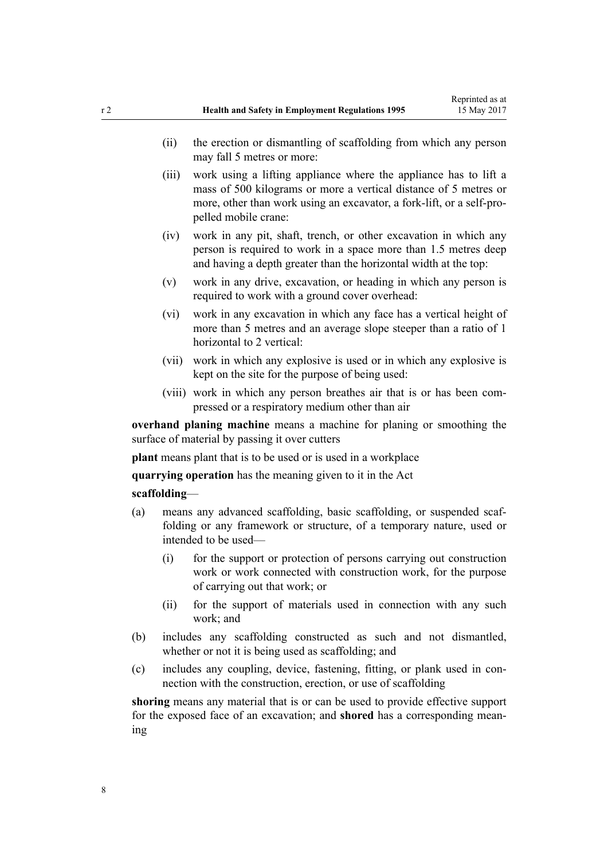- (ii) the erection or dismantling of scaffolding from which any person may fall 5 metres or more:
- (iii) work using a lifting appliance where the appliance has to lift a mass of 500 kilograms or more a vertical distance of 5 metres or more, other than work using an excavator, a fork-lift, or a self-propelled mobile crane:
- (iv) work in any pit, shaft, trench, or other excavation in which any person is required to work in a space more than 1.5 metres deep and having a depth greater than the horizontal width at the top:
- (v) work in any drive, excavation, or heading in which any person is required to work with a ground cover overhead:
- (vi) work in any excavation in which any face has a vertical height of more than 5 metres and an average slope steeper than a ratio of 1 horizontal to 2 vertical:
- (vii) work in which any explosive is used or in which any explosive is kept on the site for the purpose of being used:
- (viii) work in which any person breathes air that is or has been compressed or a respiratory medium other than air

**overhand planing machine** means a machine for planing or smoothing the surface of material by passing it over cutters

**plant** means plant that is to be used or is used in a workplace

**quarrying operation** has the meaning given to it in the Act

#### **scaffolding**—

- (a) means any advanced scaffolding, basic scaffolding, or suspended scaffolding or any framework or structure, of a temporary nature, used or intended to be used—
	- (i) for the support or protection of persons carrying out construction work or work connected with construction work, for the purpose of carrying out that work; or
	- (ii) for the support of materials used in connection with any such work; and
- (b) includes any scaffolding constructed as such and not dismantled, whether or not it is being used as scaffolding; and
- (c) includes any coupling, device, fastening, fitting, or plank used in connection with the construction, erection, or use of scaffolding

**shoring** means any material that is or can be used to provide effective support for the exposed face of an excavation; and **shored** has a corresponding meaning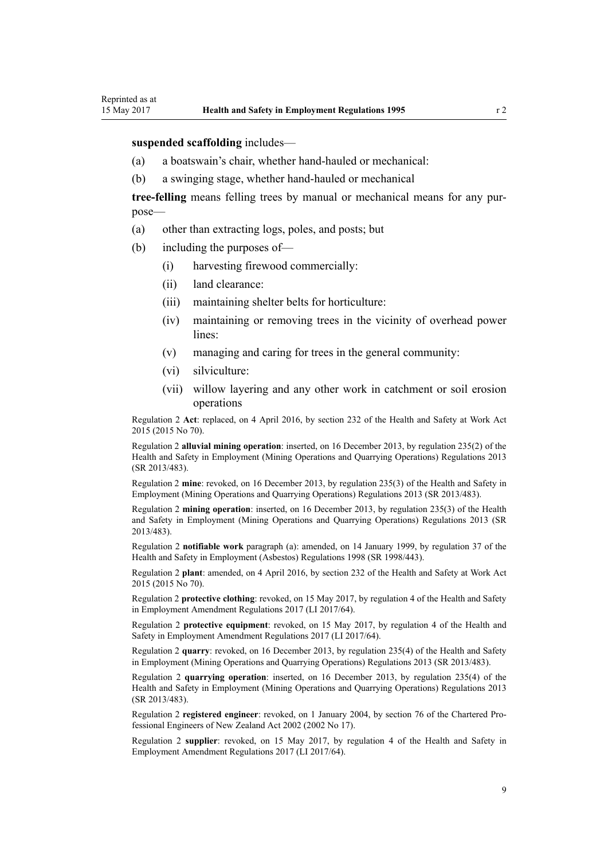#### **suspended scaffolding** includes—

- (a) a boatswain's chair, whether hand-hauled or mechanical:
- (b) a swinging stage, whether hand-hauled or mechanical

**tree-felling** means felling trees by manual or mechanical means for any purpose—

- (a) other than extracting logs, poles, and posts; but
- (b) including the purposes of—
	- (i) harvesting firewood commercially:
	- (ii) land clearance:
	- (iii) maintaining shelter belts for horticulture:
	- (iv) maintaining or removing trees in the vicinity of overhead power lines:
	- (v) managing and caring for trees in the general community:
	- (vi) silviculture:
	- (vii) willow layering and any other work in catchment or soil erosion operations

Regulation 2 **Act**: replaced, on 4 April 2016, by [section 232](http://prd-lgnz-nlb.prd.pco.net.nz/pdflink.aspx?id=DLM5977236) of the Health and Safety at Work Act 2015 (2015 No 70).

Regulation 2 **alluvial mining operation**: inserted, on 16 December 2013, by [regulation 235\(2\)](http://prd-lgnz-nlb.prd.pco.net.nz/pdflink.aspx?id=DLM5796955) of the Health and Safety in Employment (Mining Operations and Quarrying Operations) Regulations 2013 (SR 2013/483).

Regulation 2 **mine**: revoked, on 16 December 2013, by [regulation 235\(3\)](http://prd-lgnz-nlb.prd.pco.net.nz/pdflink.aspx?id=DLM5796955) of the Health and Safety in Employment (Mining Operations and Quarrying Operations) Regulations 2013 (SR 2013/483).

Regulation 2 **mining operation**: inserted, on 16 December 2013, by [regulation 235\(3\)](http://prd-lgnz-nlb.prd.pco.net.nz/pdflink.aspx?id=DLM5796955) of the Health and Safety in Employment (Mining Operations and Quarrying Operations) Regulations 2013 (SR 2013/483).

Regulation 2 **notifiable work** paragraph (a): amended, on 14 January 1999, by [regulation 37](http://prd-lgnz-nlb.prd.pco.net.nz/pdflink.aspx?id=DLM269578) of the Health and Safety in Employment (Asbestos) Regulations 1998 (SR 1998/443).

Regulation 2 **plant**: amended, on 4 April 2016, by [section 232](http://prd-lgnz-nlb.prd.pco.net.nz/pdflink.aspx?id=DLM5977236) of the Health and Safety at Work Act 2015 (2015 No 70).

Regulation 2 **protective clothing**: revoked, on 15 May 2017, by [regulation 4](http://prd-lgnz-nlb.prd.pco.net.nz/pdflink.aspx?id=DLM7193508) of the Health and Safety in Employment Amendment Regulations 2017 (LI 2017/64).

Regulation 2 **protective equipment**: revoked, on 15 May 2017, by [regulation 4](http://prd-lgnz-nlb.prd.pco.net.nz/pdflink.aspx?id=DLM7193508) of the Health and Safety in Employment Amendment Regulations 2017 (LI 2017/64).

Regulation 2 **quarry**: revoked, on 16 December 2013, by [regulation 235\(4\)](http://prd-lgnz-nlb.prd.pco.net.nz/pdflink.aspx?id=DLM5796955) of the Health and Safety in Employment (Mining Operations and Quarrying Operations) Regulations 2013 (SR 2013/483).

Regulation 2 **quarrying operation**: inserted, on 16 December 2013, by [regulation 235\(4\)](http://prd-lgnz-nlb.prd.pco.net.nz/pdflink.aspx?id=DLM5796955) of the Health and Safety in Employment (Mining Operations and Quarrying Operations) Regulations 2013 (SR 2013/483).

Regulation 2 **registered engineer**: revoked, on 1 January 2004, by [section 76](http://prd-lgnz-nlb.prd.pco.net.nz/pdflink.aspx?id=DLM145126) of the Chartered Professional Engineers of New Zealand Act 2002 (2002 No 17).

Regulation 2 **supplier**: revoked, on 15 May 2017, by [regulation 4](http://prd-lgnz-nlb.prd.pco.net.nz/pdflink.aspx?id=DLM7193508) of the Health and Safety in Employment Amendment Regulations 2017 (LI 2017/64).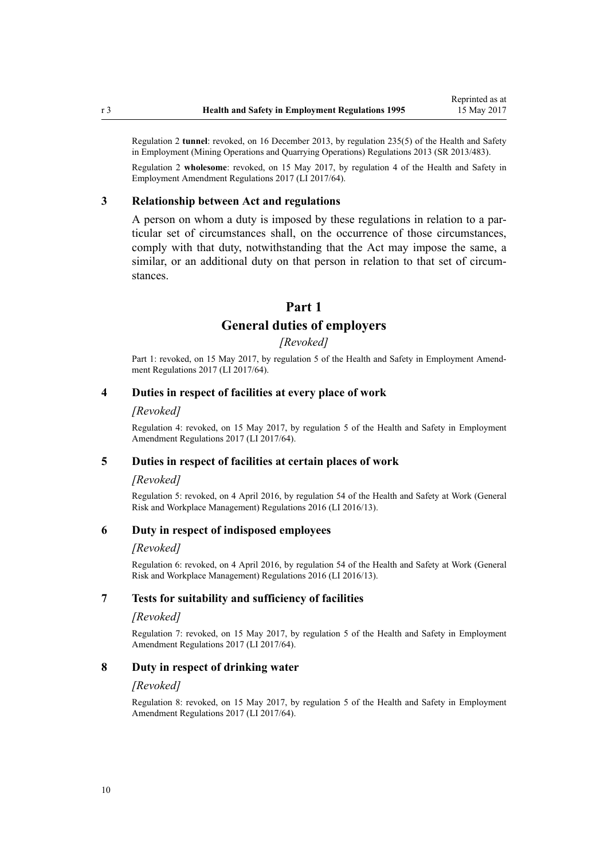<span id="page-9-0"></span>Regulation 2 **tunnel**: revoked, on 16 December 2013, by [regulation 235\(5\)](http://prd-lgnz-nlb.prd.pco.net.nz/pdflink.aspx?id=DLM5796955) of the Health and Safety in Employment (Mining Operations and Quarrying Operations) Regulations 2013 (SR 2013/483).

Regulation 2 **wholesome**: revoked, on 15 May 2017, by [regulation 4](http://prd-lgnz-nlb.prd.pco.net.nz/pdflink.aspx?id=DLM7193508) of the Health and Safety in Employment Amendment Regulations 2017 (LI 2017/64).

### **3 Relationship between Act and regulations**

A person on whom a duty is imposed by these regulations in relation to a particular set of circumstances shall, on the occurrence of those circumstances, comply with that duty, notwithstanding that the Act may impose the same, a similar, or an additional duty on that person in relation to that set of circumstances.

## **Part 1**

## **General duties of employers**

## *[Revoked]*

Part 1: revoked, on 15 May 2017, by [regulation 5](http://prd-lgnz-nlb.prd.pco.net.nz/pdflink.aspx?id=DLM7193513) of the Health and Safety in Employment Amendment Regulations 2017 (LI 2017/64).

### **4 Duties in respect of facilities at every place of work**

#### *[Revoked]*

Regulation 4: revoked, on 15 May 2017, by [regulation 5](http://prd-lgnz-nlb.prd.pco.net.nz/pdflink.aspx?id=DLM7193513) of the Health and Safety in Employment Amendment Regulations 2017 (LI 2017/64).

#### **5 Duties in respect of facilities at certain places of work**

#### *[Revoked]*

Regulation 5: revoked, on 4 April 2016, by [regulation 54](http://prd-lgnz-nlb.prd.pco.net.nz/pdflink.aspx?id=DLM6727617) of the Health and Safety at Work (General Risk and Workplace Management) Regulations 2016 (LI 2016/13).

## **6 Duty in respect of indisposed employees**

#### *[Revoked]*

Regulation 6: revoked, on 4 April 2016, by [regulation 54](http://prd-lgnz-nlb.prd.pco.net.nz/pdflink.aspx?id=DLM6727617) of the Health and Safety at Work (General Risk and Workplace Management) Regulations 2016 (LI 2016/13).

## **7 Tests for suitability and sufficiency of facilities**

#### *[Revoked]*

Regulation 7: revoked, on 15 May 2017, by [regulation 5](http://prd-lgnz-nlb.prd.pco.net.nz/pdflink.aspx?id=DLM7193513) of the Health and Safety in Employment Amendment Regulations 2017 (LI 2017/64).

## **8 Duty in respect of drinking water**

#### *[Revoked]*

Regulation 8: revoked, on 15 May 2017, by [regulation 5](http://prd-lgnz-nlb.prd.pco.net.nz/pdflink.aspx?id=DLM7193513) of the Health and Safety in Employment Amendment Regulations 2017 (LI 2017/64).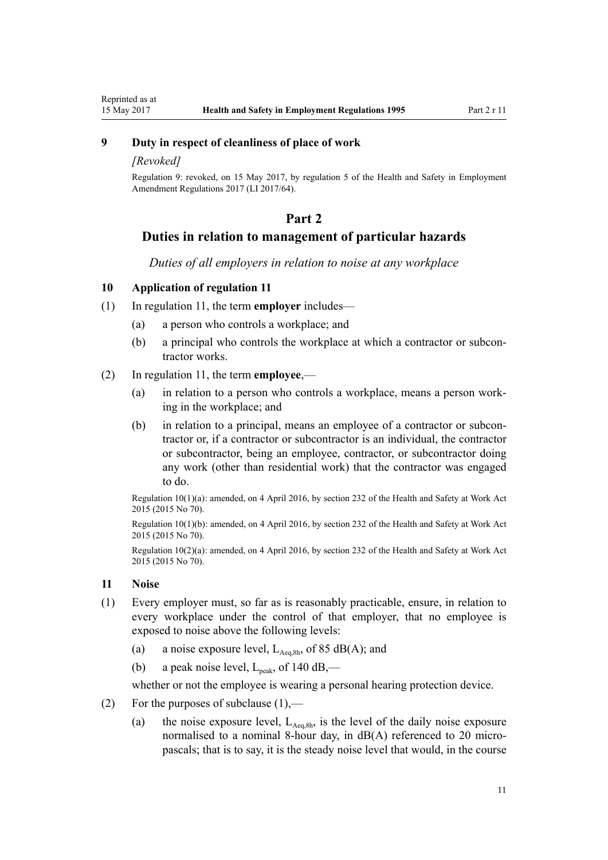<span id="page-10-0"></span>Reprinted as at

## **9 Duty in respect of cleanliness of place of work**

## *[Revoked]*

Regulation 9: revoked, on 15 May 2017, by [regulation 5](http://prd-lgnz-nlb.prd.pco.net.nz/pdflink.aspx?id=DLM7193513) of the Health and Safety in Employment Amendment Regulations 2017 (LI 2017/64).

## **Part 2**

## **Duties in relation to management of particular hazards**

*Duties of all employers in relation to noise at any workplace*

## **10 Application of regulation 11**

- (1) In regulation 11, the term **employer** includes—
	- (a) a person who controls a workplace; and
	- (b) a principal who controls the workplace at which a contractor or subcontractor works.

## (2) In regulation 11, the term **employee**,—

- (a) in relation to a person who controls a workplace, means a person working in the workplace; and
- (b) in relation to a principal, means an employee of a contractor or subcontractor or, if a contractor or subcontractor is an individual, the contractor or subcontractor, being an employee, contractor, or subcontractor doing any work (other than residential work) that the contractor was engaged to do.

Regulation 10(1)(a): amended, on 4 April 2016, by [section 232](http://prd-lgnz-nlb.prd.pco.net.nz/pdflink.aspx?id=DLM5977236) of the Health and Safety at Work Act 2015 (2015 No 70).

Regulation 10(1)(b): amended, on 4 April 2016, by [section 232](http://prd-lgnz-nlb.prd.pco.net.nz/pdflink.aspx?id=DLM5977236) of the Health and Safety at Work Act 2015 (2015 No 70).

Regulation 10(2)(a): amended, on 4 April 2016, by [section 232](http://prd-lgnz-nlb.prd.pco.net.nz/pdflink.aspx?id=DLM5977236) of the Health and Safety at Work Act 2015 (2015 No 70).

#### **11 Noise**

- (1) Every employer must, so far as is reasonably practicable, ensure, in relation to every workplace under the control of that employer, that no employee is exposed to noise above the following levels:
	- (a) a noise exposure level,  $L_{\text{Aea 8h}}$ , of 85 dB(A); and
	- (b) a peak noise level,  $L_{\text{peak}}$ , of 140 dB,—

whether or not the employee is wearing a personal hearing protection device.

- (2) For the purposes of subclause  $(1)$ ,—
	- (a) the noise exposure level,  $L_{Aeq,8h}$ , is the level of the daily noise exposure normalised to a nominal 8-hour day, in dB(A) referenced to 20 micropascals; that is to say, it is the steady noise level that would, in the course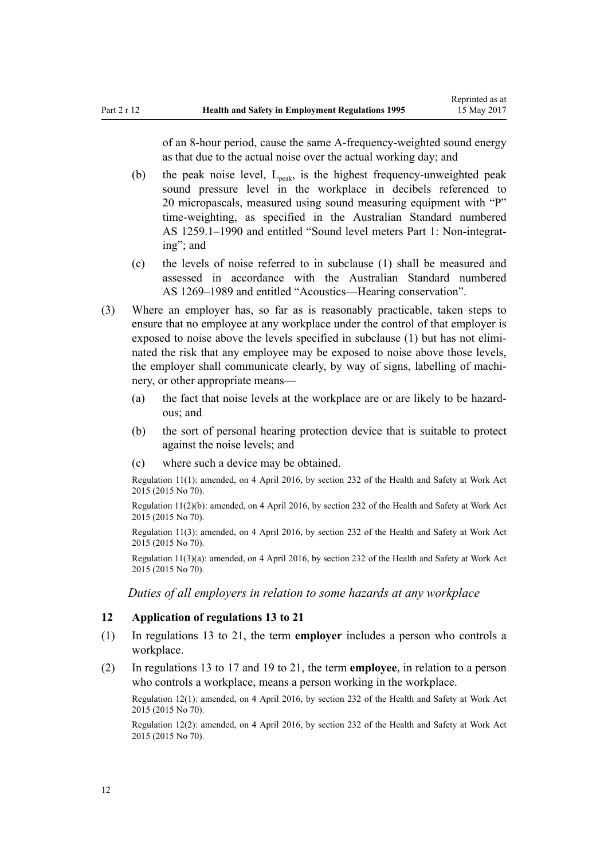<span id="page-11-0"></span>of an 8-hour period, cause the same A-frequency-weighted sound energy as that due to the actual noise over the actual working day; and

- (b) the peak noise level,  $L_{\text{neak}}$ , is the highest frequency-unweighted peak sound pressure level in the workplace in decibels referenced to 20 micropascals, measured using sound measuring equipment with "P" time-weighting, as specified in the Australian Standard numbered AS 1259.1–1990 and entitled "Sound level meters Part 1: Non-integrating"; and
- (c) the levels of noise referred to in subclause (1) shall be measured and assessed in accordance with the Australian Standard numbered AS 1269–1989 and entitled "Acoustics—Hearing conservation".
- (3) Where an employer has, so far as is reasonably practicable, taken steps to ensure that no employee at any workplace under the control of that employer is exposed to noise above the levels specified in subclause (1) but has not eliminated the risk that any employee may be exposed to noise above those levels, the employer shall communicate clearly, by way of signs, labelling of machinery, or other appropriate means—
	- (a) the fact that noise levels at the workplace are or are likely to be hazardous; and
	- (b) the sort of personal hearing protection device that is suitable to protect against the noise levels; and
	- (c) where such a device may be obtained.

Regulation 11(1): amended, on 4 April 2016, by [section 232](http://prd-lgnz-nlb.prd.pco.net.nz/pdflink.aspx?id=DLM5977236) of the Health and Safety at Work Act 2015 (2015 No 70).

Regulation 11(2)(b): amended, on 4 April 2016, by [section 232](http://prd-lgnz-nlb.prd.pco.net.nz/pdflink.aspx?id=DLM5977236) of the Health and Safety at Work Act 2015 (2015 No 70).

Regulation 11(3): amended, on 4 April 2016, by [section 232](http://prd-lgnz-nlb.prd.pco.net.nz/pdflink.aspx?id=DLM5977236) of the Health and Safety at Work Act 2015 (2015 No 70).

Regulation 11(3)(a): amended, on 4 April 2016, by [section 232](http://prd-lgnz-nlb.prd.pco.net.nz/pdflink.aspx?id=DLM5977236) of the Health and Safety at Work Act 2015 (2015 No 70).

*Duties of all employers in relation to some hazards at any workplace*

#### **12 Application of regulations 13 to 21**

- (1) In [regulations 13 to 21,](#page-12-0) the term **employer** includes a person who controls a workplace.
- (2) In [regulations 13 to 17](#page-12-0) and [19 to 21](#page-13-0), the term **employee**, in relation to a person who controls a workplace, means a person working in the workplace.

Regulation 12(1): amended, on 4 April 2016, by [section 232](http://prd-lgnz-nlb.prd.pco.net.nz/pdflink.aspx?id=DLM5977236) of the Health and Safety at Work Act 2015 (2015 No 70).

Regulation 12(2): amended, on 4 April 2016, by [section 232](http://prd-lgnz-nlb.prd.pco.net.nz/pdflink.aspx?id=DLM5977236) of the Health and Safety at Work Act 2015 (2015 No 70).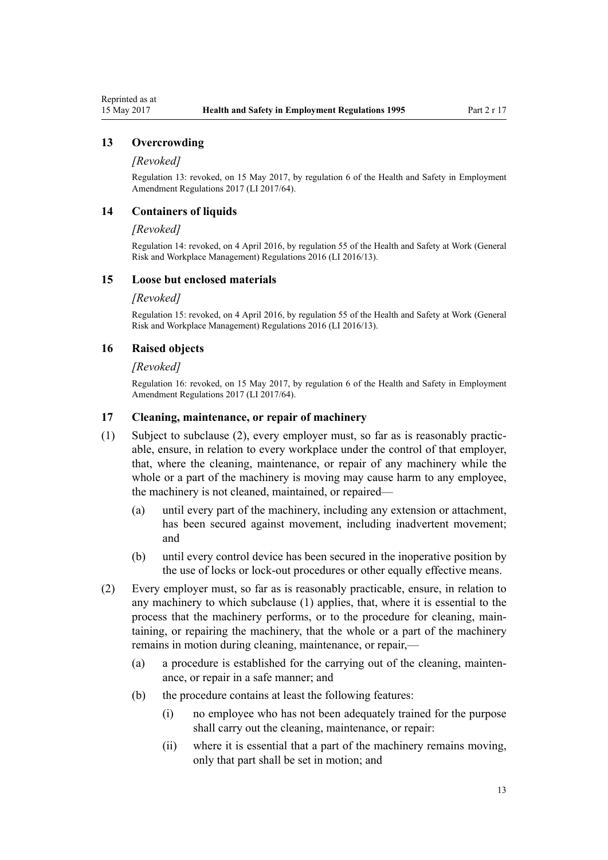## <span id="page-12-0"></span>**13 Overcrowding**

#### *[Revoked]*

Regulation 13: revoked, on 15 May 2017, by [regulation 6](http://prd-lgnz-nlb.prd.pco.net.nz/pdflink.aspx?id=DLM7193514) of the Health and Safety in Employment Amendment Regulations 2017 (LI 2017/64).

## **14 Containers of liquids**

#### *[Revoked]*

Regulation 14: revoked, on 4 April 2016, by [regulation 55](http://prd-lgnz-nlb.prd.pco.net.nz/pdflink.aspx?id=DLM6727618) of the Health and Safety at Work (General Risk and Workplace Management) Regulations 2016 (LI 2016/13).

## **15 Loose but enclosed materials**

#### *[Revoked]*

Regulation 15: revoked, on 4 April 2016, by [regulation 55](http://prd-lgnz-nlb.prd.pco.net.nz/pdflink.aspx?id=DLM6727618) of the Health and Safety at Work (General Risk and Workplace Management) Regulations 2016 (LI 2016/13).

## **16 Raised objects**

#### *[Revoked]*

Regulation 16: revoked, on 15 May 2017, by [regulation 6](http://prd-lgnz-nlb.prd.pco.net.nz/pdflink.aspx?id=DLM7193514) of the Health and Safety in Employment Amendment Regulations 2017 (LI 2017/64).

## **17 Cleaning, maintenance, or repair of machinery**

- (1) Subject to subclause (2), every employer must, so far as is reasonably practicable, ensure, in relation to every workplace under the control of that employer, that, where the cleaning, maintenance, or repair of any machinery while the whole or a part of the machinery is moving may cause harm to any employee. the machinery is not cleaned, maintained, or repaired—
	- (a) until every part of the machinery, including any extension or attachment, has been secured against movement, including inadvertent movement; and
	- (b) until every control device has been secured in the inoperative position by the use of locks or lock-out procedures or other equally effective means.
- (2) Every employer must, so far as is reasonably practicable, ensure, in relation to any machinery to which subclause (1) applies, that, where it is essential to the process that the machinery performs, or to the procedure for cleaning, maintaining, or repairing the machinery, that the whole or a part of the machinery remains in motion during cleaning, maintenance, or repair,—
	- (a) a procedure is established for the carrying out of the cleaning, maintenance, or repair in a safe manner; and
	- (b) the procedure contains at least the following features:
		- (i) no employee who has not been adequately trained for the purpose shall carry out the cleaning, maintenance, or repair:
		- (ii) where it is essential that a part of the machinery remains moving, only that part shall be set in motion; and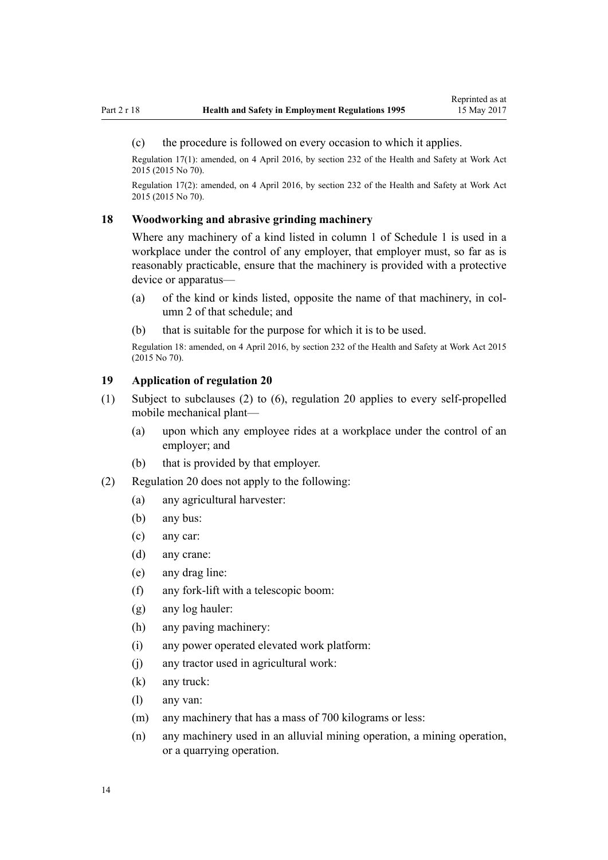#### <span id="page-13-0"></span>(c) the procedure is followed on every occasion to which it applies.

Regulation 17(1): amended, on 4 April 2016, by [section 232](http://prd-lgnz-nlb.prd.pco.net.nz/pdflink.aspx?id=DLM5977236) of the Health and Safety at Work Act 2015 (2015 No 70).

Regulation 17(2): amended, on 4 April 2016, by [section 232](http://prd-lgnz-nlb.prd.pco.net.nz/pdflink.aspx?id=DLM5977236) of the Health and Safety at Work Act 2015 (2015 No 70).

## **18 Woodworking and abrasive grinding machinery**

Where any machinery of a kind listed in column 1 of [Schedule 1](#page-35-0) is used in a workplace under the control of any employer, that employer must, so far as is reasonably practicable, ensure that the machinery is provided with a protective device or apparatus—

- (a) of the kind or kinds listed, opposite the name of that machinery, in column 2 of that schedule; and
- (b) that is suitable for the purpose for which it is to be used.

Regulation 18: amended, on 4 April 2016, by [section 232](http://prd-lgnz-nlb.prd.pco.net.nz/pdflink.aspx?id=DLM5977236) of the Health and Safety at Work Act 2015 (2015 No 70).

## **19 Application of regulation 20**

- (1) Subject to subclauses (2) to (6), [regulation 20](#page-14-0) applies to every self-propelled mobile mechanical plant—
	- (a) upon which any employee rides at a workplace under the control of an employer; and
	- (b) that is provided by that employer.
- (2) [Regulation 20](#page-14-0) does not apply to the following:
	- (a) any agricultural harvester:
	- (b) any bus:
	- (c) any car:
	- (d) any crane:
	- (e) any drag line:
	- (f) any fork-lift with a telescopic boom:
	- (g) any log hauler:
	- (h) any paving machinery:
	- (i) any power operated elevated work platform:
	- (j) any tractor used in agricultural work:
	- (k) any truck:
	- (l) any van:
	- (m) any machinery that has a mass of 700 kilograms or less:
	- (n) any machinery used in an alluvial mining operation, a mining operation, or a quarrying operation.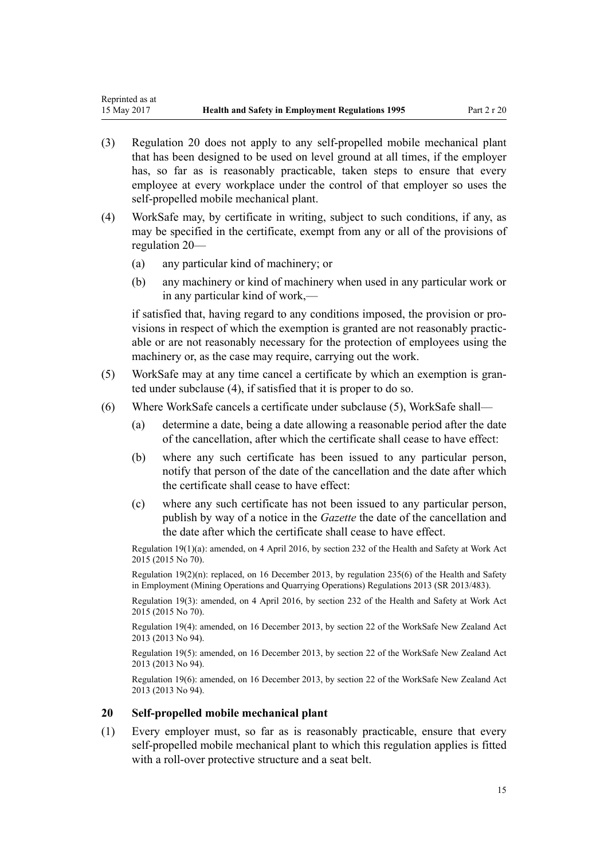- <span id="page-14-0"></span>(3) Regulation 20 does not apply to any self-propelled mobile mechanical plant that has been designed to be used on level ground at all times, if the employer has, so far as is reasonably practicable, taken steps to ensure that every employee at every workplace under the control of that employer so uses the self-propelled mobile mechanical plant.
- (4) WorkSafe may, by certificate in writing, subject to such conditions, if any, as may be specified in the certificate, exempt from any or all of the provisions of regulation 20—
	- (a) any particular kind of machinery; or
	- (b) any machinery or kind of machinery when used in any particular work or in any particular kind of work,—

if satisfied that, having regard to any conditions imposed, the provision or provisions in respect of which the exemption is granted are not reasonably practicable or are not reasonably necessary for the protection of employees using the machinery or, as the case may require, carrying out the work.

- (5) WorkSafe may at any time cancel a certificate by which an exemption is granted under subclause (4), if satisfied that it is proper to do so.
- (6) Where WorkSafe cancels a certificate under subclause (5), WorkSafe shall—
	- (a) determine a date, being a date allowing a reasonable period after the date of the cancellation, after which the certificate shall cease to have effect:
	- (b) where any such certificate has been issued to any particular person, notify that person of the date of the cancellation and the date after which the certificate shall cease to have effect:
	- (c) where any such certificate has not been issued to any particular person, publish by way of a notice in the *Gazette* the date of the cancellation and the date after which the certificate shall cease to have effect.

Regulation 19(1)(a): amended, on 4 April 2016, by [section 232](http://prd-lgnz-nlb.prd.pco.net.nz/pdflink.aspx?id=DLM5977236) of the Health and Safety at Work Act 2015 (2015 No 70).

Regulation  $19(2)(n)$ : replaced, on 16 December 2013, by [regulation 235\(6\)](http://prd-lgnz-nlb.prd.pco.net.nz/pdflink.aspx?id=DLM5796955) of the Health and Safety in Employment (Mining Operations and Quarrying Operations) Regulations 2013 (SR 2013/483).

Regulation 19(3): amended, on 4 April 2016, by [section 232](http://prd-lgnz-nlb.prd.pco.net.nz/pdflink.aspx?id=DLM5977236) of the Health and Safety at Work Act 2015 (2015 No 70).

Regulation 19(4): amended, on 16 December 2013, by [section 22](http://prd-lgnz-nlb.prd.pco.net.nz/pdflink.aspx?id=DLM5302071) of the WorkSafe New Zealand Act 2013 (2013 No 94).

Regulation 19(5): amended, on 16 December 2013, by [section 22](http://prd-lgnz-nlb.prd.pco.net.nz/pdflink.aspx?id=DLM5302071) of the WorkSafe New Zealand Act 2013 (2013 No 94).

Regulation 19(6): amended, on 16 December 2013, by [section 22](http://prd-lgnz-nlb.prd.pco.net.nz/pdflink.aspx?id=DLM5302071) of the WorkSafe New Zealand Act 2013 (2013 No 94).

## **20 Self-propelled mobile mechanical plant**

(1) Every employer must, so far as is reasonably practicable, ensure that every self-propelled mobile mechanical plant to which this regulation applies is fitted with a roll-over protective structure and a seat belt.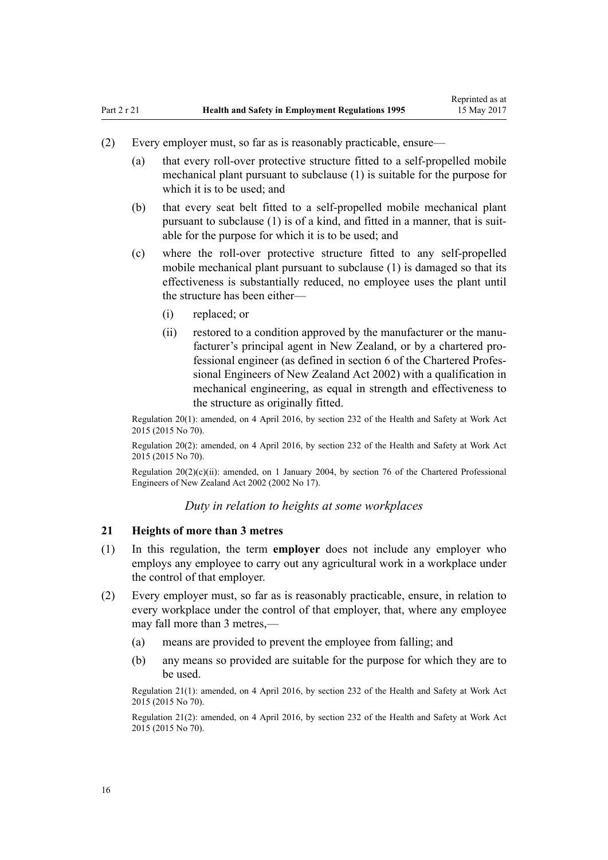- <span id="page-15-0"></span>(2) Every employer must, so far as is reasonably practicable, ensure—
	- (a) that every roll-over protective structure fitted to a self-propelled mobile mechanical plant pursuant to subclause (1) is suitable for the purpose for which it is to be used; and
	- (b) that every seat belt fitted to a self-propelled mobile mechanical plant pursuant to subclause (1) is of a kind, and fitted in a manner, that is suitable for the purpose for which it is to be used; and
	- (c) where the roll-over protective structure fitted to any self-propelled mobile mechanical plant pursuant to subclause (1) is damaged so that its effectiveness is substantially reduced, no employee uses the plant until the structure has been either—
		- (i) replaced; or
		- (ii) restored to a condition approved by the manufacturer or the manufacturer's principal agent in New Zealand, or by a chartered professional engineer (as defined in [section 6](http://prd-lgnz-nlb.prd.pco.net.nz/pdflink.aspx?id=DLM144826) of the Chartered Professional Engineers of New Zealand Act 2002) with a qualification in mechanical engineering, as equal in strength and effectiveness to the structure as originally fitted.

Regulation 20(1): amended, on 4 April 2016, by [section 232](http://prd-lgnz-nlb.prd.pco.net.nz/pdflink.aspx?id=DLM5977236) of the Health and Safety at Work Act 2015 (2015 No 70).

Regulation 20(2): amended, on 4 April 2016, by [section 232](http://prd-lgnz-nlb.prd.pco.net.nz/pdflink.aspx?id=DLM5977236) of the Health and Safety at Work Act 2015 (2015 No 70).

Regulation 20(2)(c)(ii): amended, on 1 January 2004, by [section 76](http://prd-lgnz-nlb.prd.pco.net.nz/pdflink.aspx?id=DLM145126) of the Chartered Professional Engineers of New Zealand Act 2002 (2002 No 17).

*Duty in relation to heights at some workplaces*

## **21 Heights of more than 3 metres**

- (1) In this regulation, the term **employer** does not include any employer who employs any employee to carry out any agricultural work in a workplace under the control of that employer.
- (2) Every employer must, so far as is reasonably practicable, ensure, in relation to every workplace under the control of that employer, that, where any employee may fall more than 3 metres,—
	- (a) means are provided to prevent the employee from falling; and
	- (b) any means so provided are suitable for the purpose for which they are to be used.

Regulation 21(1): amended, on 4 April 2016, by [section 232](http://prd-lgnz-nlb.prd.pco.net.nz/pdflink.aspx?id=DLM5977236) of the Health and Safety at Work Act 2015 (2015 No 70).

Regulation 21(2): amended, on 4 April 2016, by [section 232](http://prd-lgnz-nlb.prd.pco.net.nz/pdflink.aspx?id=DLM5977236) of the Health and Safety at Work Act 2015 (2015 No 70).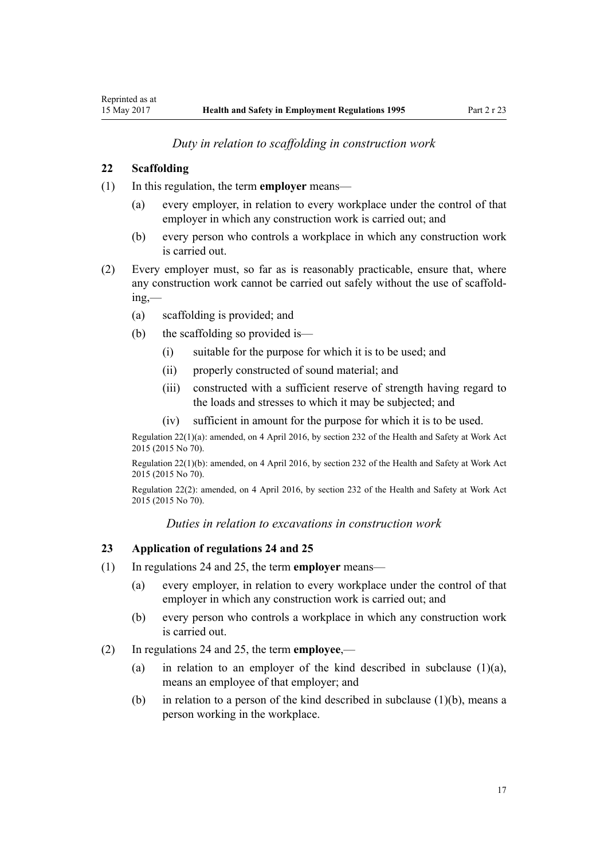*Duty in relation to scaffolding in construction work*

## <span id="page-16-0"></span>**22 Scaffolding**

- (1) In this regulation, the term **employer** means—
	- (a) every employer, in relation to every workplace under the control of that employer in which any construction work is carried out; and
	- (b) every person who controls a workplace in which any construction work is carried out.
- (2) Every employer must, so far as is reasonably practicable, ensure that, where any construction work cannot be carried out safely without the use of scaffolding,—
	- (a) scaffolding is provided; and
	- (b) the scaffolding so provided is—
		- (i) suitable for the purpose for which it is to be used; and
		- (ii) properly constructed of sound material; and
		- (iii) constructed with a sufficient reserve of strength having regard to the loads and stresses to which it may be subjected; and
		- (iv) sufficient in amount for the purpose for which it is to be used.

Regulation 22(1)(a): amended, on 4 April 2016, by [section 232](http://prd-lgnz-nlb.prd.pco.net.nz/pdflink.aspx?id=DLM5977236) of the Health and Safety at Work Act 2015 (2015 No 70).

Regulation 22(1)(b): amended, on 4 April 2016, by [section 232](http://prd-lgnz-nlb.prd.pco.net.nz/pdflink.aspx?id=DLM5977236) of the Health and Safety at Work Act 2015 (2015 No 70).

Regulation 22(2): amended, on 4 April 2016, by [section 232](http://prd-lgnz-nlb.prd.pco.net.nz/pdflink.aspx?id=DLM5977236) of the Health and Safety at Work Act 2015 (2015 No 70).

*Duties in relation to excavations in construction work*

## **23 Application of regulations 24 and 25**

- (1) In [regulations 24](#page-17-0) and [25,](#page-17-0) the term **employer** means—
	- (a) every employer, in relation to every workplace under the control of that employer in which any construction work is carried out; and
	- (b) every person who controls a workplace in which any construction work is carried out.
- (2) In [regulations 24](#page-17-0) and [25,](#page-17-0) the term **employee**,—
	- (a) in relation to an employer of the kind described in subclause  $(1)(a)$ , means an employee of that employer; and
	- (b) in relation to a person of the kind described in subclause (1)(b), means a person working in the workplace.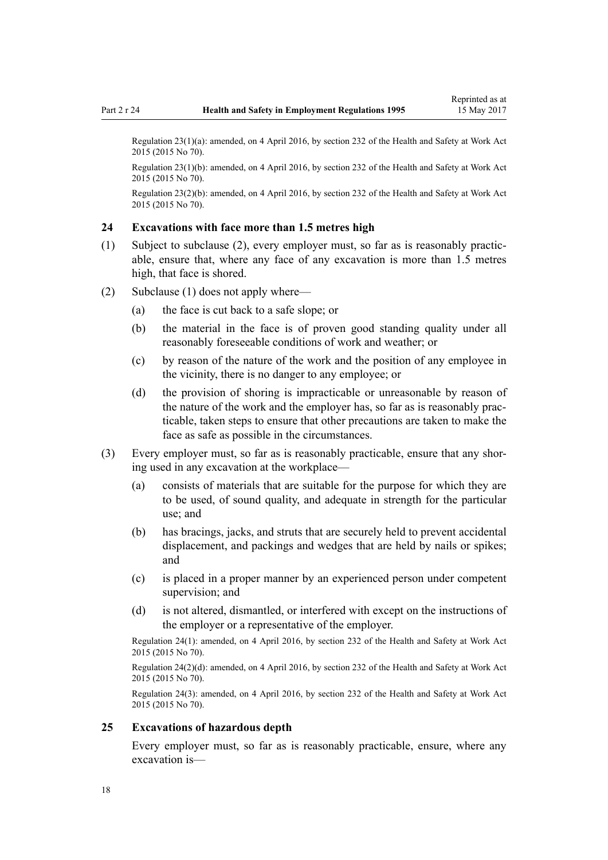<span id="page-17-0"></span>Regulation 23(1)(a): amended, on 4 April 2016, by [section 232](http://prd-lgnz-nlb.prd.pco.net.nz/pdflink.aspx?id=DLM5977236) of the Health and Safety at Work Act 2015 (2015 No 70).

Regulation 23(1)(b): amended, on 4 April 2016, by [section 232](http://prd-lgnz-nlb.prd.pco.net.nz/pdflink.aspx?id=DLM5977236) of the Health and Safety at Work Act 2015 (2015 No 70).

Regulation 23(2)(b): amended, on 4 April 2016, by [section 232](http://prd-lgnz-nlb.prd.pco.net.nz/pdflink.aspx?id=DLM5977236) of the Health and Safety at Work Act 2015 (2015 No 70).

#### **24 Excavations with face more than 1.5 metres high**

- (1) Subject to subclause (2), every employer must, so far as is reasonably practicable, ensure that, where any face of any excavation is more than 1.5 metres high, that face is shored.
- (2) Subclause (1) does not apply where—
	- (a) the face is cut back to a safe slope; or
	- (b) the material in the face is of proven good standing quality under all reasonably foreseeable conditions of work and weather; or
	- (c) by reason of the nature of the work and the position of any employee in the vicinity, there is no danger to any employee; or
	- (d) the provision of shoring is impracticable or unreasonable by reason of the nature of the work and the employer has, so far as is reasonably practicable, taken steps to ensure that other precautions are taken to make the face as safe as possible in the circumstances.
- (3) Every employer must, so far as is reasonably practicable, ensure that any shoring used in any excavation at the workplace—
	- (a) consists of materials that are suitable for the purpose for which they are to be used, of sound quality, and adequate in strength for the particular use; and
	- (b) has bracings, jacks, and struts that are securely held to prevent accidental displacement, and packings and wedges that are held by nails or spikes; and
	- (c) is placed in a proper manner by an experienced person under competent supervision; and
	- (d) is not altered, dismantled, or interfered with except on the instructions of the employer or a representative of the employer.

Regulation 24(1): amended, on 4 April 2016, by [section 232](http://prd-lgnz-nlb.prd.pco.net.nz/pdflink.aspx?id=DLM5977236) of the Health and Safety at Work Act 2015 (2015 No 70).

Regulation 24(2)(d): amended, on 4 April 2016, by [section 232](http://prd-lgnz-nlb.prd.pco.net.nz/pdflink.aspx?id=DLM5977236) of the Health and Safety at Work Act 2015 (2015 No 70).

Regulation 24(3): amended, on 4 April 2016, by [section 232](http://prd-lgnz-nlb.prd.pco.net.nz/pdflink.aspx?id=DLM5977236) of the Health and Safety at Work Act 2015 (2015 No 70).

#### **25 Excavations of hazardous depth**

Every employer must, so far as is reasonably practicable, ensure, where any excavation is—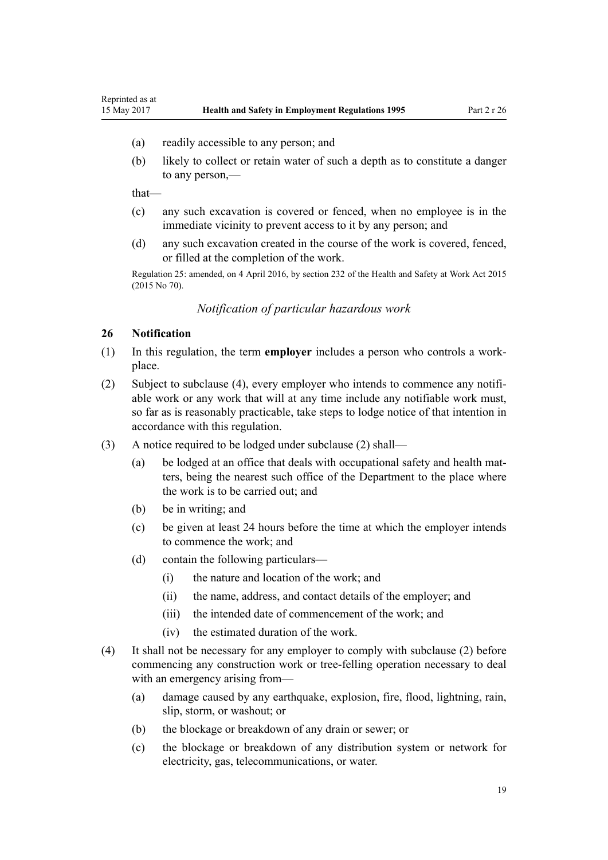- (a) readily accessible to any person; and
- (b) likely to collect or retain water of such a depth as to constitute a danger to any person,—

that—

<span id="page-18-0"></span>Reprinted as at

- (c) any such excavation is covered or fenced, when no employee is in the immediate vicinity to prevent access to it by any person; and
- (d) any such excavation created in the course of the work is covered, fenced, or filled at the completion of the work.

Regulation 25: amended, on 4 April 2016, by [section 232](http://prd-lgnz-nlb.prd.pco.net.nz/pdflink.aspx?id=DLM5977236) of the Health and Safety at Work Act 2015 (2015 No 70).

## *Notification of particular hazardous work*

## **26 Notification**

- (1) In this regulation, the term **employer** includes a person who controls a workplace.
- (2) Subject to subclause (4), every employer who intends to commence any notifiable work or any work that will at any time include any notifiable work must, so far as is reasonably practicable, take steps to lodge notice of that intention in accordance with this regulation.
- (3) A notice required to be lodged under subclause (2) shall—
	- (a) be lodged at an office that deals with occupational safety and health matters, being the nearest such office of the Department to the place where the work is to be carried out; and
	- (b) be in writing; and
	- (c) be given at least 24 hours before the time at which the employer intends to commence the work; and
	- (d) contain the following particulars—
		- (i) the nature and location of the work; and
		- (ii) the name, address, and contact details of the employer; and
		- (iii) the intended date of commencement of the work; and
		- (iv) the estimated duration of the work.
- (4) It shall not be necessary for any employer to comply with subclause (2) before commencing any construction work or tree-felling operation necessary to deal with an emergency arising from—
	- (a) damage caused by any earthquake, explosion, fire, flood, lightning, rain, slip, storm, or washout; or
	- (b) the blockage or breakdown of any drain or sewer; or
	- (c) the blockage or breakdown of any distribution system or network for electricity, gas, telecommunications, or water.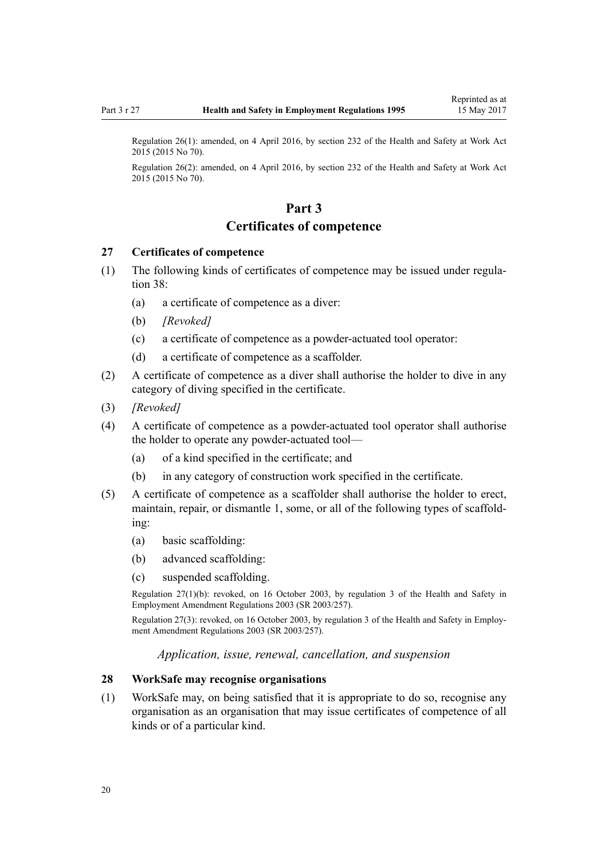<span id="page-19-0"></span>Regulation 26(1): amended, on 4 April 2016, by [section 232](http://prd-lgnz-nlb.prd.pco.net.nz/pdflink.aspx?id=DLM5977236) of the Health and Safety at Work Act 2015 (2015 No 70).

Regulation 26(2): amended, on 4 April 2016, by [section 232](http://prd-lgnz-nlb.prd.pco.net.nz/pdflink.aspx?id=DLM5977236) of the Health and Safety at Work Act 2015 (2015 No 70).

# **Part 3**

## **Certificates of competence**

## **27 Certificates of competence**

- (1) The following kinds of certificates of competence may be issued under [regula](#page-23-0)[tion 38](#page-23-0):
	- (a) a certificate of competence as a diver:
	- (b) *[Revoked]*
	- (c) a certificate of competence as a powder-actuated tool operator:
	- (d) a certificate of competence as a scaffolder.
- (2) A certificate of competence as a diver shall authorise the holder to dive in any category of diving specified in the certificate.
- (3) *[Revoked]*
- (4) A certificate of competence as a powder-actuated tool operator shall authorise the holder to operate any powder-actuated tool—
	- (a) of a kind specified in the certificate; and
	- (b) in any category of construction work specified in the certificate.
- (5) A certificate of competence as a scaffolder shall authorise the holder to erect, maintain, repair, or dismantle 1, some, or all of the following types of scaffolding:
	- (a) basic scaffolding:
	- (b) advanced scaffolding:
	- (c) suspended scaffolding.

Regulation 27(1)(b): revoked, on 16 October 2003, by [regulation 3](http://prd-lgnz-nlb.prd.pco.net.nz/pdflink.aspx?id=DLM212572) of the Health and Safety in Employment Amendment Regulations 2003 (SR 2003/257).

Regulation 27(3): revoked, on 16 October 2003, by [regulation 3](http://prd-lgnz-nlb.prd.pco.net.nz/pdflink.aspx?id=DLM212572) of the Health and Safety in Employment Amendment Regulations 2003 (SR 2003/257).

*Application, issue, renewal, cancellation, and suspension*

## **28 WorkSafe may recognise organisations**

(1) WorkSafe may, on being satisfied that it is appropriate to do so, recognise any organisation as an organisation that may issue certificates of competence of all kinds or of a particular kind.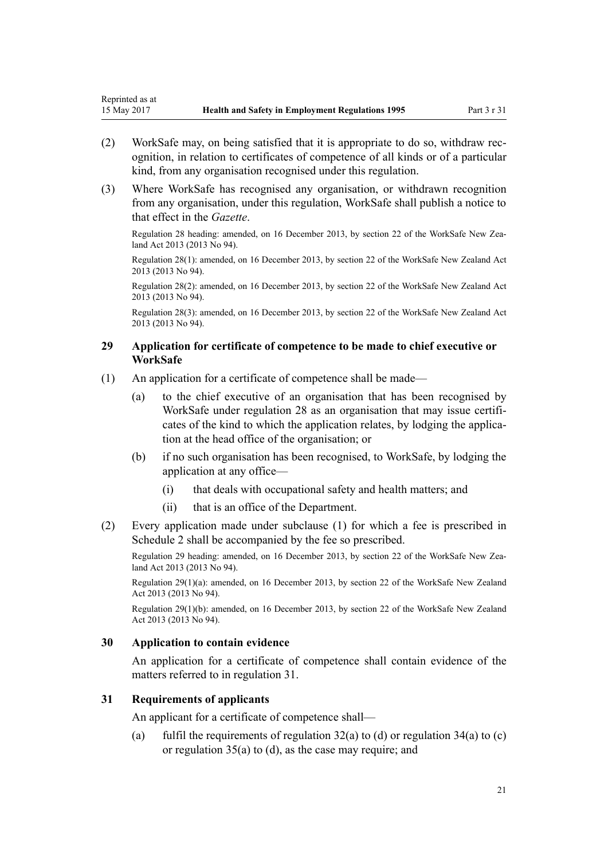- <span id="page-20-0"></span>(2) WorkSafe may, on being satisfied that it is appropriate to do so, withdraw recognition, in relation to certificates of competence of all kinds or of a particular kind, from any organisation recognised under this regulation.
- (3) Where WorkSafe has recognised any organisation, or withdrawn recognition from any organisation, under this regulation, WorkSafe shall publish a notice to that effect in the *Gazette*.

Regulation 28 heading: amended, on 16 December 2013, by [section 22](http://prd-lgnz-nlb.prd.pco.net.nz/pdflink.aspx?id=DLM5302071) of the WorkSafe New Zealand Act 2013 (2013 No 94).

Regulation 28(1): amended, on 16 December 2013, by [section 22](http://prd-lgnz-nlb.prd.pco.net.nz/pdflink.aspx?id=DLM5302071) of the WorkSafe New Zealand Act 2013 (2013 No 94).

Regulation 28(2): amended, on 16 December 2013, by [section 22](http://prd-lgnz-nlb.prd.pco.net.nz/pdflink.aspx?id=DLM5302071) of the WorkSafe New Zealand Act 2013 (2013 No 94).

Regulation 28(3): amended, on 16 December 2013, by [section 22](http://prd-lgnz-nlb.prd.pco.net.nz/pdflink.aspx?id=DLM5302071) of the WorkSafe New Zealand Act 2013 (2013 No 94).

## **29 Application for certificate of competence to be made to chief executive or WorkSafe**

- (1) An application for a certificate of competence shall be made—
	- (a) to the chief executive of an organisation that has been recognised by WorkSafe under [regulation 28](#page-19-0) as an organisation that may issue certificates of the kind to which the application relates, by lodging the application at the head office of the organisation; or
	- (b) if no such organisation has been recognised, to WorkSafe, by lodging the application at any office—
		- (i) that deals with occupational safety and health matters; and
		- (ii) that is an office of the Department.
- (2) Every application made under subclause (1) for which a fee is prescribed in [Schedule 2](#page-36-0) shall be accompanied by the fee so prescribed.

Regulation 29 heading: amended, on 16 December 2013, by [section 22](http://prd-lgnz-nlb.prd.pco.net.nz/pdflink.aspx?id=DLM5302071) of the WorkSafe New Zealand Act 2013 (2013 No 94).

Regulation 29(1)(a): amended, on 16 December 2013, by [section 22](http://prd-lgnz-nlb.prd.pco.net.nz/pdflink.aspx?id=DLM5302071) of the WorkSafe New Zealand Act 2013 (2013 No 94).

Regulation 29(1)(b): amended, on 16 December 2013, by [section 22](http://prd-lgnz-nlb.prd.pco.net.nz/pdflink.aspx?id=DLM5302071) of the WorkSafe New Zealand Act 2013 (2013 No 94).

## **30 Application to contain evidence**

An application for a certificate of competence shall contain evidence of the matters referred to in regulation 31.

## **31 Requirements of applicants**

An applicant for a certificate of competence shall—

(a) fulfil the requirements of regulation  $32(a)$  to (d) or regulation  $34(a)$  to (c) or [regulation 35\(a\) to \(d\),](#page-21-0) as the case may require; and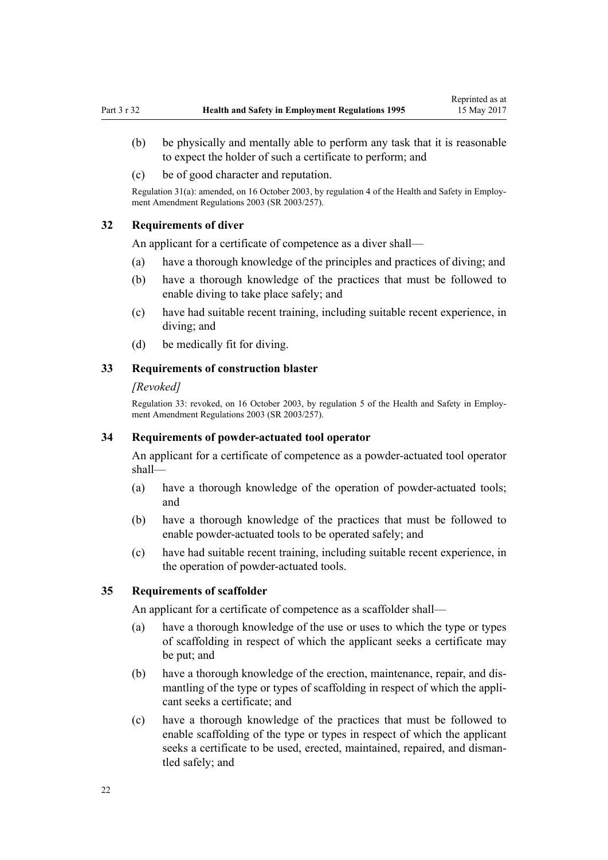- <span id="page-21-0"></span>(b) be physically and mentally able to perform any task that it is reasonable to expect the holder of such a certificate to perform; and
- (c) be of good character and reputation.

Regulation 31(a): amended, on 16 October 2003, by [regulation 4](http://prd-lgnz-nlb.prd.pco.net.nz/pdflink.aspx?id=DLM212573) of the Health and Safety in Employment Amendment Regulations 2003 (SR 2003/257).

## **32 Requirements of diver**

An applicant for a certificate of competence as a diver shall—

- (a) have a thorough knowledge of the principles and practices of diving; and
- (b) have a thorough knowledge of the practices that must be followed to enable diving to take place safely; and
- (c) have had suitable recent training, including suitable recent experience, in diving; and
- (d) be medically fit for diving.

## **33 Requirements of construction blaster**

#### *[Revoked]*

Regulation 33: revoked, on 16 October 2003, by [regulation 5](http://prd-lgnz-nlb.prd.pco.net.nz/pdflink.aspx?id=DLM212574) of the Health and Safety in Employment Amendment Regulations 2003 (SR 2003/257).

## **34 Requirements of powder-actuated tool operator**

An applicant for a certificate of competence as a powder-actuated tool operator shall—

- (a) have a thorough knowledge of the operation of powder-actuated tools; and
- (b) have a thorough knowledge of the practices that must be followed to enable powder-actuated tools to be operated safely; and
- (c) have had suitable recent training, including suitable recent experience, in the operation of powder-actuated tools.

### **35 Requirements of scaffolder**

An applicant for a certificate of competence as a scaffolder shall—

- (a) have a thorough knowledge of the use or uses to which the type or types of scaffolding in respect of which the applicant seeks a certificate may be put; and
- (b) have a thorough knowledge of the erection, maintenance, repair, and dismantling of the type or types of scaffolding in respect of which the applicant seeks a certificate; and
- (c) have a thorough knowledge of the practices that must be followed to enable scaffolding of the type or types in respect of which the applicant seeks a certificate to be used, erected, maintained, repaired, and dismantled safely; and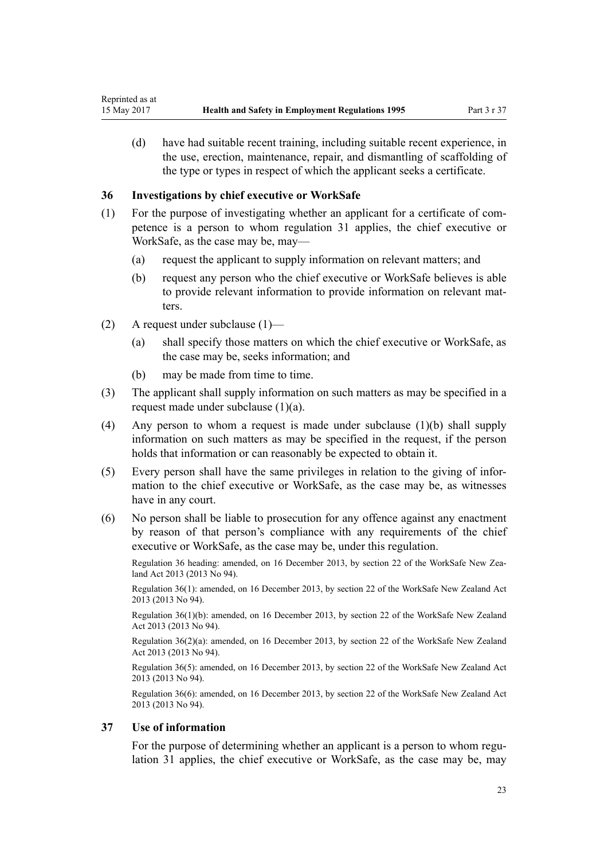<span id="page-22-0"></span>(d) have had suitable recent training, including suitable recent experience, in the use, erection, maintenance, repair, and dismantling of scaffolding of the type or types in respect of which the applicant seeks a certificate.

## **36 Investigations by chief executive or WorkSafe**

- (1) For the purpose of investigating whether an applicant for a certificate of competence is a person to whom [regulation 31](#page-20-0) applies, the chief executive or WorkSafe, as the case may be, may—
	- (a) request the applicant to supply information on relevant matters; and
	- (b) request any person who the chief executive or WorkSafe believes is able to provide relevant information to provide information on relevant matters.
- (2) A request under subclause (1)—
	- (a) shall specify those matters on which the chief executive or WorkSafe, as the case may be, seeks information; and
	- (b) may be made from time to time.
- (3) The applicant shall supply information on such matters as may be specified in a request made under subclause (1)(a).
- (4) Any person to whom a request is made under subclause (1)(b) shall supply information on such matters as may be specified in the request, if the person holds that information or can reasonably be expected to obtain it.
- (5) Every person shall have the same privileges in relation to the giving of information to the chief executive or WorkSafe, as the case may be, as witnesses have in any court.
- (6) No person shall be liable to prosecution for any offence against any enactment by reason of that person's compliance with any requirements of the chief executive or WorkSafe, as the case may be, under this regulation.

Regulation 36 heading: amended, on 16 December 2013, by [section 22](http://prd-lgnz-nlb.prd.pco.net.nz/pdflink.aspx?id=DLM5302071) of the WorkSafe New Zealand Act 2013 (2013 No 94).

Regulation 36(1): amended, on 16 December 2013, by [section 22](http://prd-lgnz-nlb.prd.pco.net.nz/pdflink.aspx?id=DLM5302071) of the WorkSafe New Zealand Act 2013 (2013 No 94).

Regulation 36(1)(b): amended, on 16 December 2013, by [section 22](http://prd-lgnz-nlb.prd.pco.net.nz/pdflink.aspx?id=DLM5302071) of the WorkSafe New Zealand Act 2013 (2013 No 94).

Regulation 36(2)(a): amended, on 16 December 2013, by [section 22](http://prd-lgnz-nlb.prd.pco.net.nz/pdflink.aspx?id=DLM5302071) of the WorkSafe New Zealand Act 2013 (2013 No 94).

Regulation 36(5): amended, on 16 December 2013, by [section 22](http://prd-lgnz-nlb.prd.pco.net.nz/pdflink.aspx?id=DLM5302071) of the WorkSafe New Zealand Act 2013 (2013 No 94).

Regulation 36(6): amended, on 16 December 2013, by [section 22](http://prd-lgnz-nlb.prd.pco.net.nz/pdflink.aspx?id=DLM5302071) of the WorkSafe New Zealand Act 2013 (2013 No 94).

## **37 Use of information**

For the purpose of determining whether an applicant is a person to whom [regu](#page-20-0)[lation 31](#page-20-0) applies, the chief executive or WorkSafe, as the case may be, may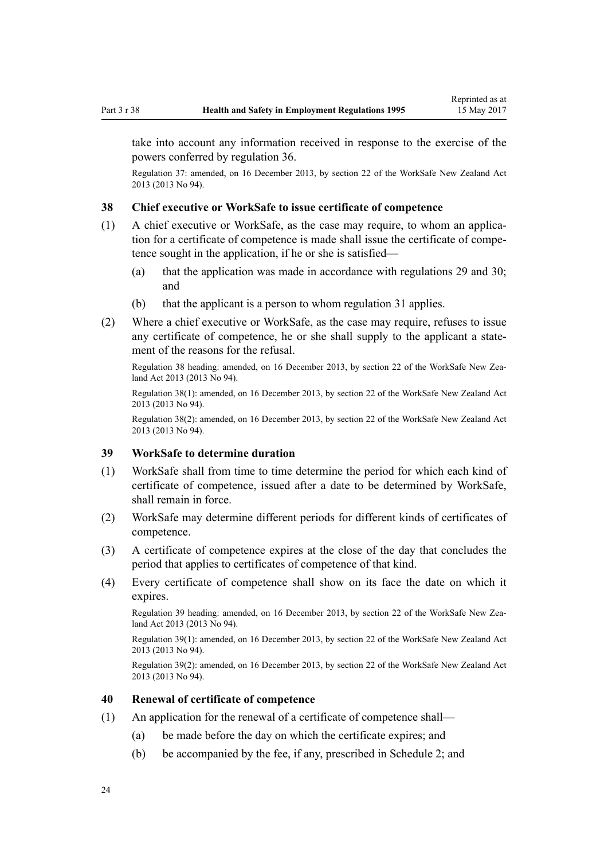<span id="page-23-0"></span>take into account any information received in response to the exercise of the powers conferred by [regulation 36.](#page-22-0)

Regulation 37: amended, on 16 December 2013, by [section 22](http://prd-lgnz-nlb.prd.pco.net.nz/pdflink.aspx?id=DLM5302071) of the WorkSafe New Zealand Act 2013 (2013 No 94).

## **38 Chief executive or WorkSafe to issue certificate of competence**

- (1) A chief executive or WorkSafe, as the case may require, to whom an application for a certificate of competence is made shall issue the certificate of competence sought in the application, if he or she is satisfied—
	- (a) that the application was made in accordance with [regulations 29](#page-20-0) and [30;](#page-20-0) and
	- (b) that the applicant is a person to whom [regulation 31](#page-20-0) applies.
- (2) Where a chief executive or WorkSafe, as the case may require, refuses to issue any certificate of competence, he or she shall supply to the applicant a statement of the reasons for the refusal.

Regulation 38 heading: amended, on 16 December 2013, by [section 22](http://prd-lgnz-nlb.prd.pco.net.nz/pdflink.aspx?id=DLM5302071) of the WorkSafe New Zealand Act 2013 (2013 No 94).

Regulation 38(1): amended, on 16 December 2013, by [section 22](http://prd-lgnz-nlb.prd.pco.net.nz/pdflink.aspx?id=DLM5302071) of the WorkSafe New Zealand Act 2013 (2013 No 94).

Regulation 38(2): amended, on 16 December 2013, by [section 22](http://prd-lgnz-nlb.prd.pco.net.nz/pdflink.aspx?id=DLM5302071) of the WorkSafe New Zealand Act 2013 (2013 No 94).

## **39 WorkSafe to determine duration**

- (1) WorkSafe shall from time to time determine the period for which each kind of certificate of competence, issued after a date to be determined by WorkSafe, shall remain in force.
- (2) WorkSafe may determine different periods for different kinds of certificates of competence.
- (3) A certificate of competence expires at the close of the day that concludes the period that applies to certificates of competence of that kind.
- (4) Every certificate of competence shall show on its face the date on which it expires.

Regulation 39 heading: amended, on 16 December 2013, by [section 22](http://prd-lgnz-nlb.prd.pco.net.nz/pdflink.aspx?id=DLM5302071) of the WorkSafe New Zealand Act 2013 (2013 No 94).

Regulation 39(1): amended, on 16 December 2013, by [section 22](http://prd-lgnz-nlb.prd.pco.net.nz/pdflink.aspx?id=DLM5302071) of the WorkSafe New Zealand Act 2013 (2013 No 94).

Regulation 39(2): amended, on 16 December 2013, by [section 22](http://prd-lgnz-nlb.prd.pco.net.nz/pdflink.aspx?id=DLM5302071) of the WorkSafe New Zealand Act 2013 (2013 No 94).

## **40 Renewal of certificate of competence**

- (1) An application for the renewal of a certificate of competence shall—
	- (a) be made before the day on which the certificate expires; and
	- (b) be accompanied by the fee, if any, prescribed in [Schedule 2](#page-36-0); and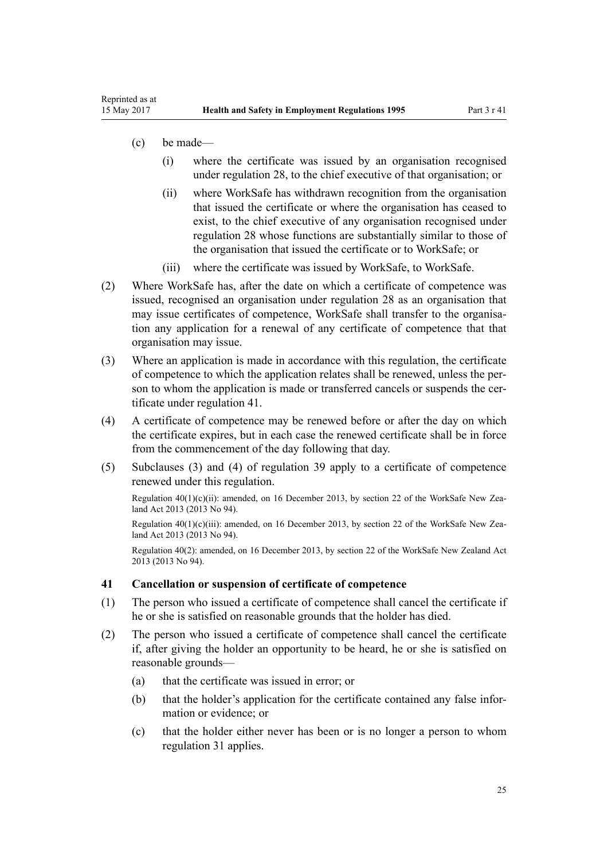(c) be made—

<span id="page-24-0"></span>Reprinted as at

- (i) where the certificate was issued by an organisation recognised under [regulation 28](#page-19-0), to the chief executive of that organisation; or
- (ii) where WorkSafe has withdrawn recognition from the organisation that issued the certificate or where the organisation has ceased to exist, to the chief executive of any organisation recognised under [regulation 28](#page-19-0) whose functions are substantially similar to those of the organisation that issued the certificate or to WorkSafe; or
- (iii) where the certificate was issued by WorkSafe, to WorkSafe.
- (2) Where WorkSafe has, after the date on which a certificate of competence was issued, recognised an organisation under [regulation 28](#page-19-0) as an organisation that may issue certificates of competence, WorkSafe shall transfer to the organisation any application for a renewal of any certificate of competence that that organisation may issue.
- (3) Where an application is made in accordance with this regulation, the certificate of competence to which the application relates shall be renewed, unless the person to whom the application is made or transferred cancels or suspends the certificate under regulation 41.
- (4) A certificate of competence may be renewed before or after the day on which the certificate expires, but in each case the renewed certificate shall be in force from the commencement of the day following that day.
- (5) Subclauses (3) and (4) of [regulation 39](#page-23-0) apply to a certificate of competence renewed under this regulation.

Regulation  $40(1)(c)(ii)$ : amended, on 16 December 2013, by [section 22](http://prd-lgnz-nlb.prd.pco.net.nz/pdflink.aspx?id=DLM5302071) of the WorkSafe New Zealand Act 2013 (2013 No 94).

Regulation  $40(1)(c)(iii)$ : amended, on 16 December 2013, by [section 22](http://prd-lgnz-nlb.prd.pco.net.nz/pdflink.aspx?id=DLM5302071) of the WorkSafe New Zealand Act 2013 (2013 No 94).

Regulation 40(2): amended, on 16 December 2013, by [section 22](http://prd-lgnz-nlb.prd.pco.net.nz/pdflink.aspx?id=DLM5302071) of the WorkSafe New Zealand Act 2013 (2013 No 94).

#### **41 Cancellation or suspension of certificate of competence**

- (1) The person who issued a certificate of competence shall cancel the certificate if he or she is satisfied on reasonable grounds that the holder has died.
- (2) The person who issued a certificate of competence shall cancel the certificate if, after giving the holder an opportunity to be heard, he or she is satisfied on reasonable grounds—
	- (a) that the certificate was issued in error; or
	- (b) that the holder's application for the certificate contained any false information or evidence; or
	- (c) that the holder either never has been or is no longer a person to whom [regulation 31](#page-20-0) applies.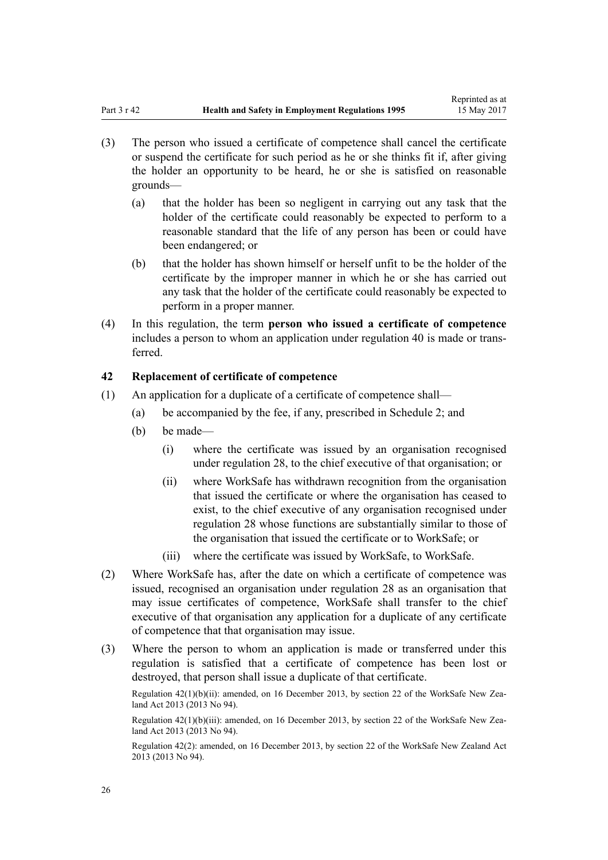- <span id="page-25-0"></span>(3) The person who issued a certificate of competence shall cancel the certificate or suspend the certificate for such period as he or she thinks fit if, after giving the holder an opportunity to be heard, he or she is satisfied on reasonable grounds—
	- (a) that the holder has been so negligent in carrying out any task that the holder of the certificate could reasonably be expected to perform to a reasonable standard that the life of any person has been or could have been endangered; or
	- (b) that the holder has shown himself or herself unfit to be the holder of the certificate by the improper manner in which he or she has carried out any task that the holder of the certificate could reasonably be expected to perform in a proper manner.
- (4) In this regulation, the term **person who issued a certificate of competence** includes a person to whom an application under [regulation 40](#page-23-0) is made or transferred.

## **42 Replacement of certificate of competence**

- (1) An application for a duplicate of a certificate of competence shall—
	- (a) be accompanied by the fee, if any, prescribed in [Schedule 2](#page-36-0); and
	- (b) be made—
		- (i) where the certificate was issued by an organisation recognised under [regulation 28](#page-19-0), to the chief executive of that organisation; or
		- (ii) where WorkSafe has withdrawn recognition from the organisation that issued the certificate or where the organisation has ceased to exist, to the chief executive of any organisation recognised under [regulation 28](#page-19-0) whose functions are substantially similar to those of the organisation that issued the certificate or to WorkSafe; or
		- (iii) where the certificate was issued by WorkSafe, to WorkSafe.
- (2) Where WorkSafe has, after the date on which a certificate of competence was issued, recognised an organisation under [regulation 28](#page-19-0) as an organisation that may issue certificates of competence, WorkSafe shall transfer to the chief executive of that organisation any application for a duplicate of any certificate of competence that that organisation may issue.
- (3) Where the person to whom an application is made or transferred under this regulation is satisfied that a certificate of competence has been lost or destroyed, that person shall issue a duplicate of that certificate.

Regulation 42(1)(b)(ii): amended, on 16 December 2013, by [section 22](http://prd-lgnz-nlb.prd.pco.net.nz/pdflink.aspx?id=DLM5302071) of the WorkSafe New Zealand Act 2013 (2013 No 94).

Regulation 42(1)(b)(iii): amended, on 16 December 2013, by [section 22](http://prd-lgnz-nlb.prd.pco.net.nz/pdflink.aspx?id=DLM5302071) of the WorkSafe New Zealand Act 2013 (2013 No 94).

Regulation 42(2): amended, on 16 December 2013, by [section 22](http://prd-lgnz-nlb.prd.pco.net.nz/pdflink.aspx?id=DLM5302071) of the WorkSafe New Zealand Act 2013 (2013 No 94).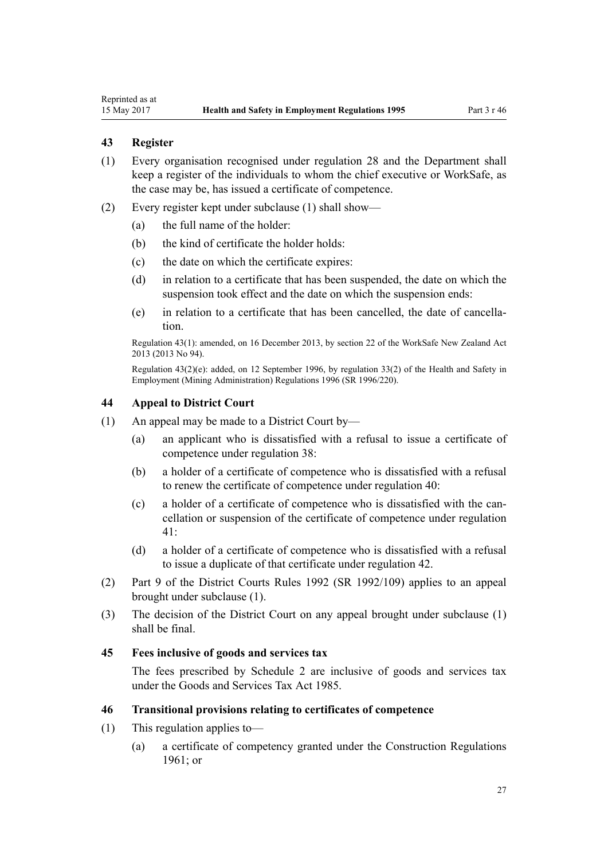## <span id="page-26-0"></span>**43 Register**

- (1) Every organisation recognised under [regulation 28](#page-19-0) and the Department shall keep a register of the individuals to whom the chief executive or WorkSafe, as the case may be, has issued a certificate of competence.
- (2) Every register kept under subclause (1) shall show—
	- (a) the full name of the holder:
	- (b) the kind of certificate the holder holds:
	- (c) the date on which the certificate expires:
	- (d) in relation to a certificate that has been suspended, the date on which the suspension took effect and the date on which the suspension ends:
	- (e) in relation to a certificate that has been cancelled, the date of cancellation.

Regulation 43(1): amended, on 16 December 2013, by [section 22](http://prd-lgnz-nlb.prd.pco.net.nz/pdflink.aspx?id=DLM5302071) of the WorkSafe New Zealand Act 2013 (2013 No 94).

Regulation 43(2)(e): added, on 12 September 1996, by [regulation 33\(2\)](http://prd-lgnz-nlb.prd.pco.net.nz/pdflink.aspx?id=DLM217727) of the Health and Safety in Employment (Mining Administration) Regulations 1996 (SR 1996/220).

## **44 Appeal to District Court**

- (1) An appeal may be made to a District Court by—
	- (a) an applicant who is dissatisfied with a refusal to issue a certificate of competence under [regulation 38](#page-23-0):
	- (b) a holder of a certificate of competence who is dissatisfied with a refusal to renew the certificate of competence under [regulation 40](#page-23-0):
	- (c) a holder of a certificate of competence who is dissatisfied with the cancellation or suspension of the certificate of competence under [regulation](#page-24-0) [41:](#page-24-0)
	- (d) a holder of a certificate of competence who is dissatisfied with a refusal to issue a duplicate of that certificate under [regulation 42](#page-25-0).
- (2) [Part 9](http://prd-lgnz-nlb.prd.pco.net.nz/pdflink.aspx?id=DLM160529) of the District Courts Rules 1992 (SR 1992/109) applies to an appeal brought under subclause (1).
- (3) The decision of the District Court on any appeal brought under subclause (1) shall be final.

## **45 Fees inclusive of goods and services tax**

The fees prescribed by [Schedule 2](#page-36-0) are inclusive of goods and services tax under the [Goods and Services Tax Act 1985.](http://prd-lgnz-nlb.prd.pco.net.nz/pdflink.aspx?id=DLM81034)

## **46 Transitional provisions relating to certificates of competence**

- (1) This regulation applies to—
	- (a) a certificate of competency granted under the Construction Regulations 1961; or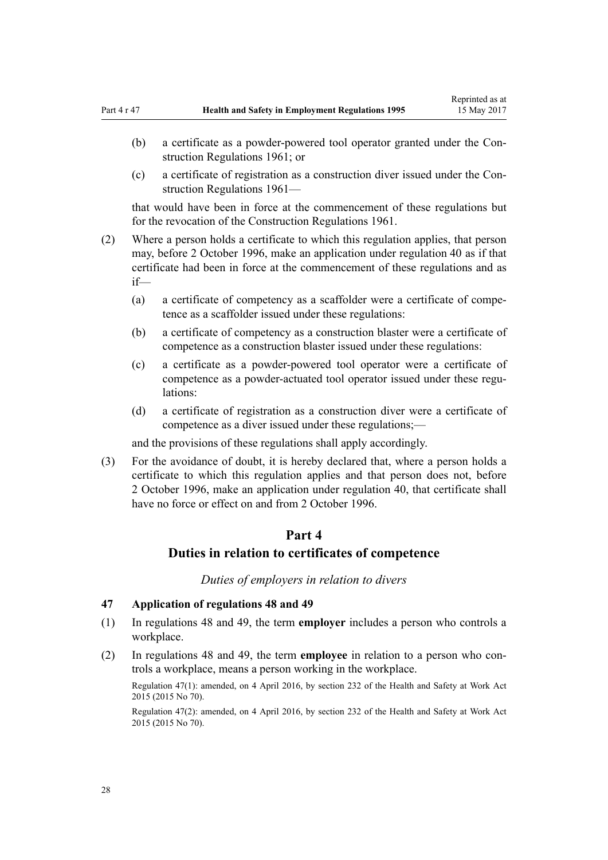- <span id="page-27-0"></span>(b) a certificate as a powder-powered tool operator granted under the Construction Regulations 1961; or
- (c) a certificate of registration as a construction diver issued under the Construction Regulations 1961—

that would have been in force at the commencement of these regulations but for the revocation of the Construction Regulations 1961.

- (2) Where a person holds a certificate to which this regulation applies, that person may, before 2 October 1996, make an application under [regulation 40](#page-23-0) as if that certificate had been in force at the commencement of these regulations and as if—
	- (a) a certificate of competency as a scaffolder were a certificate of competence as a scaffolder issued under these regulations:
	- (b) a certificate of competency as a construction blaster were a certificate of competence as a construction blaster issued under these regulations:
	- (c) a certificate as a powder-powered tool operator were a certificate of competence as a powder-actuated tool operator issued under these regulations:
	- (d) a certificate of registration as a construction diver were a certificate of competence as a diver issued under these regulations;—

and the provisions of these regulations shall apply accordingly.

(3) For the avoidance of doubt, it is hereby declared that, where a person holds a certificate to which this regulation applies and that person does not, before 2 October 1996, make an application under [regulation 40,](#page-23-0) that certificate shall have no force or effect on and from 2 October 1996.

## **Part 4**

# **Duties in relation to certificates of competence**

*Duties of employers in relation to divers*

## **47 Application of regulations 48 and 49**

- (1) In [regulations 48](#page-28-0) and [49,](#page-28-0) the term **employer** includes a person who controls a workplace.
- (2) In [regulations 48](#page-28-0) and [49,](#page-28-0) the term **employee** in relation to a person who controls a workplace, means a person working in the workplace.

Regulation 47(1): amended, on 4 April 2016, by [section 232](http://prd-lgnz-nlb.prd.pco.net.nz/pdflink.aspx?id=DLM5977236) of the Health and Safety at Work Act 2015 (2015 No 70).

Regulation 47(2): amended, on 4 April 2016, by [section 232](http://prd-lgnz-nlb.prd.pco.net.nz/pdflink.aspx?id=DLM5977236) of the Health and Safety at Work Act 2015 (2015 No 70).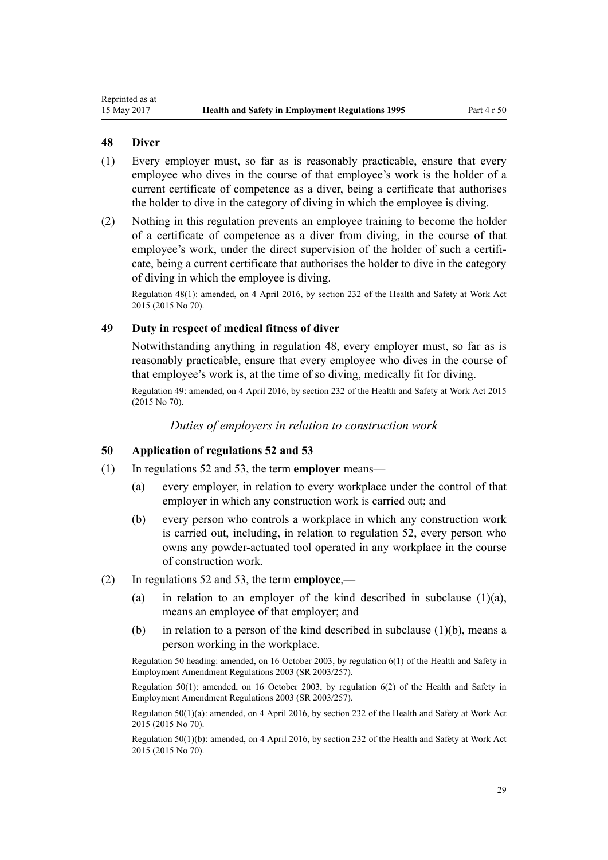## <span id="page-28-0"></span>**48 Diver**

- (1) Every employer must, so far as is reasonably practicable, ensure that every employee who dives in the course of that employee's work is the holder of a current certificate of competence as a diver, being a certificate that authorises the holder to dive in the category of diving in which the employee is diving.
- (2) Nothing in this regulation prevents an employee training to become the holder of a certificate of competence as a diver from diving, in the course of that employee's work, under the direct supervision of the holder of such a certificate, being a current certificate that authorises the holder to dive in the category of diving in which the employee is diving.

Regulation 48(1): amended, on 4 April 2016, by [section 232](http://prd-lgnz-nlb.prd.pco.net.nz/pdflink.aspx?id=DLM5977236) of the Health and Safety at Work Act 2015 (2015 No 70).

## **49 Duty in respect of medical fitness of diver**

Notwithstanding anything in regulation 48, every employer must, so far as is reasonably practicable, ensure that every employee who dives in the course of that employee's work is, at the time of so diving, medically fit for diving.

Regulation 49: amended, on 4 April 2016, by [section 232](http://prd-lgnz-nlb.prd.pco.net.nz/pdflink.aspx?id=DLM5977236) of the Health and Safety at Work Act 2015 (2015 No 70).

*Duties of employers in relation to construction work*

#### **50 Application of regulations 52 and 53**

- (1) In [regulations 52](#page-29-0) and [53,](#page-29-0) the term **employer** means—
	- (a) every employer, in relation to every workplace under the control of that employer in which any construction work is carried out; and
	- (b) every person who controls a workplace in which any construction work is carried out, including, in relation to [regulation 52](#page-29-0), every person who owns any powder-actuated tool operated in any workplace in the course of construction work.
- (2) In [regulations 52](#page-29-0) and [53,](#page-29-0) the term **employee**,—
	- (a) in relation to an employer of the kind described in subclause  $(1)(a)$ , means an employee of that employer; and
	- (b) in relation to a person of the kind described in subclause  $(1)(b)$ , means a person working in the workplace.

Regulation 50 heading: amended, on 16 October 2003, by [regulation 6\(1\)](http://prd-lgnz-nlb.prd.pco.net.nz/pdflink.aspx?id=DLM212575) of the Health and Safety in Employment Amendment Regulations 2003 (SR 2003/257).

Regulation 50(1): amended, on 16 October 2003, by [regulation 6\(2\)](http://prd-lgnz-nlb.prd.pco.net.nz/pdflink.aspx?id=DLM212575) of the Health and Safety in Employment Amendment Regulations 2003 (SR 2003/257).

Regulation 50(1)(a): amended, on 4 April 2016, by [section 232](http://prd-lgnz-nlb.prd.pco.net.nz/pdflink.aspx?id=DLM5977236) of the Health and Safety at Work Act 2015 (2015 No 70).

Regulation 50(1)(b): amended, on 4 April 2016, by [section 232](http://prd-lgnz-nlb.prd.pco.net.nz/pdflink.aspx?id=DLM5977236) of the Health and Safety at Work Act 2015 (2015 No 70).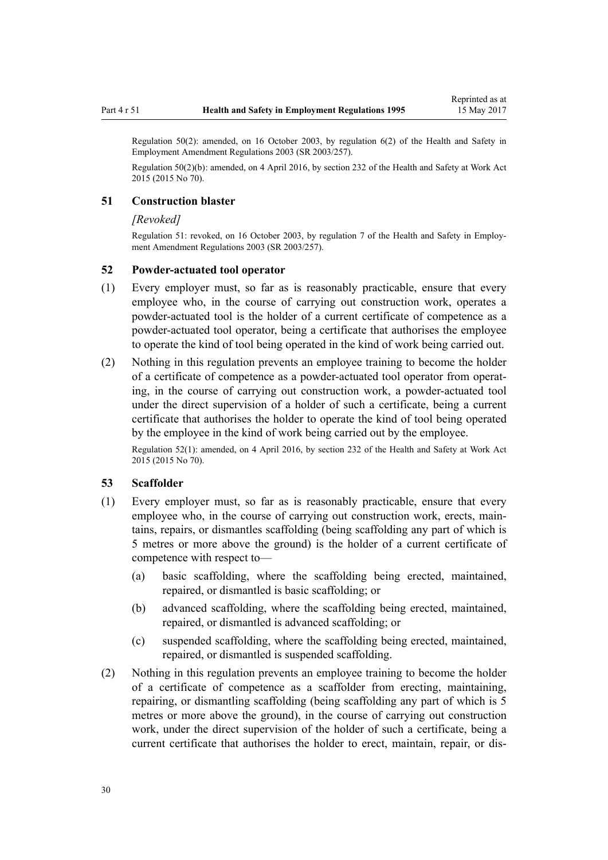Regulation 50(2): amended, on 16 October 2003, by [regulation 6\(2\)](http://prd-lgnz-nlb.prd.pco.net.nz/pdflink.aspx?id=DLM212575) of the Health and Safety in Employment Amendment Regulations 2003 (SR 2003/257).

Regulation 50(2)(b): amended, on 4 April 2016, by [section 232](http://prd-lgnz-nlb.prd.pco.net.nz/pdflink.aspx?id=DLM5977236) of the Health and Safety at Work Act 2015 (2015 No 70).

### **51 Construction blaster**

#### *[Revoked]*

Regulation 51: revoked, on 16 October 2003, by [regulation 7](http://prd-lgnz-nlb.prd.pco.net.nz/pdflink.aspx?id=DLM212576) of the Health and Safety in Employment Amendment Regulations 2003 (SR 2003/257).

#### **52 Powder-actuated tool operator**

- (1) Every employer must, so far as is reasonably practicable, ensure that every employee who, in the course of carrying out construction work, operates a powder-actuated tool is the holder of a current certificate of competence as a powder-actuated tool operator, being a certificate that authorises the employee to operate the kind of tool being operated in the kind of work being carried out.
- (2) Nothing in this regulation prevents an employee training to become the holder of a certificate of competence as a powder-actuated tool operator from operating, in the course of carrying out construction work, a powder-actuated tool under the direct supervision of a holder of such a certificate, being a current certificate that authorises the holder to operate the kind of tool being operated by the employee in the kind of work being carried out by the employee.

Regulation 52(1): amended, on 4 April 2016, by [section 232](http://prd-lgnz-nlb.prd.pco.net.nz/pdflink.aspx?id=DLM5977236) of the Health and Safety at Work Act 2015 (2015 No 70).

## **53 Scaffolder**

- (1) Every employer must, so far as is reasonably practicable, ensure that every employee who, in the course of carrying out construction work, erects, maintains, repairs, or dismantles scaffolding (being scaffolding any part of which is 5 metres or more above the ground) is the holder of a current certificate of competence with respect to—
	- (a) basic scaffolding, where the scaffolding being erected, maintained, repaired, or dismantled is basic scaffolding; or
	- (b) advanced scaffolding, where the scaffolding being erected, maintained, repaired, or dismantled is advanced scaffolding; or
	- (c) suspended scaffolding, where the scaffolding being erected, maintained, repaired, or dismantled is suspended scaffolding.
- (2) Nothing in this regulation prevents an employee training to become the holder of a certificate of competence as a scaffolder from erecting, maintaining, repairing, or dismantling scaffolding (being scaffolding any part of which is 5 metres or more above the ground), in the course of carrying out construction work, under the direct supervision of the holder of such a certificate, being a current certificate that authorises the holder to erect, maintain, repair, or dis-

<span id="page-29-0"></span>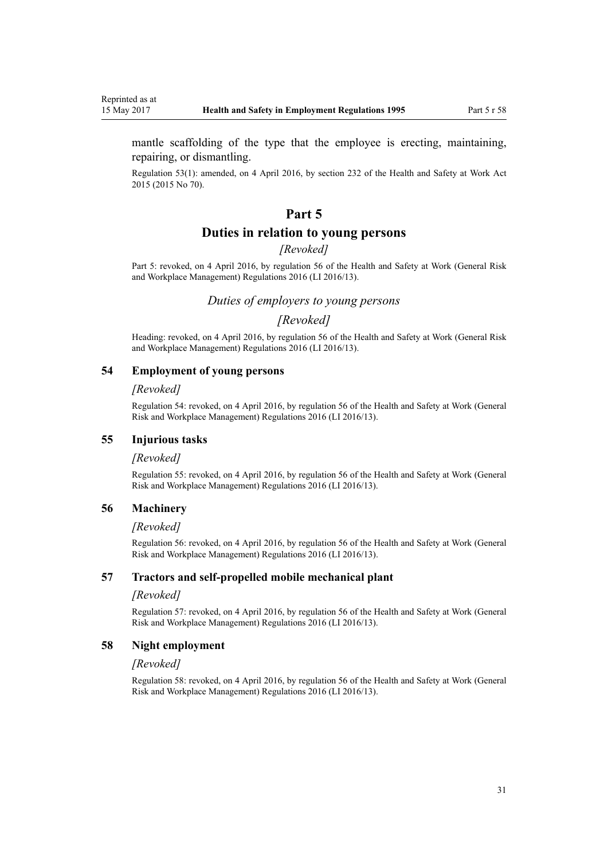<span id="page-30-0"></span>mantle scaffolding of the type that the employee is erecting, maintaining, repairing, or dismantling.

Regulation 53(1): amended, on 4 April 2016, by [section 232](http://prd-lgnz-nlb.prd.pco.net.nz/pdflink.aspx?id=DLM5977236) of the Health and Safety at Work Act 2015 (2015 No 70).

## **Part 5**

## **Duties in relation to young persons**

## *[Revoked]*

Part 5: revoked, on 4 April 2016, by [regulation 56](http://prd-lgnz-nlb.prd.pco.net.nz/pdflink.aspx?id=DLM6727619) of the Health and Safety at Work (General Risk and Workplace Management) Regulations 2016 (LI 2016/13).

## *Duties of employers to young persons*

## *[Revoked]*

Heading: revoked, on 4 April 2016, by [regulation 56](http://prd-lgnz-nlb.prd.pco.net.nz/pdflink.aspx?id=DLM6727619) of the Health and Safety at Work (General Risk and Workplace Management) Regulations 2016 (LI 2016/13).

#### **54 Employment of young persons**

#### *[Revoked]*

Regulation 54: revoked, on 4 April 2016, by [regulation 56](http://prd-lgnz-nlb.prd.pco.net.nz/pdflink.aspx?id=DLM6727619) of the Health and Safety at Work (General Risk and Workplace Management) Regulations 2016 (LI 2016/13).

#### **55 Injurious tasks**

#### *[Revoked]*

Regulation 55: revoked, on 4 April 2016, by [regulation 56](http://prd-lgnz-nlb.prd.pco.net.nz/pdflink.aspx?id=DLM6727619) of the Health and Safety at Work (General Risk and Workplace Management) Regulations 2016 (LI 2016/13).

#### **56 Machinery**

#### *[Revoked]*

Regulation 56: revoked, on 4 April 2016, by [regulation 56](http://prd-lgnz-nlb.prd.pco.net.nz/pdflink.aspx?id=DLM6727619) of the Health and Safety at Work (General Risk and Workplace Management) Regulations 2016 (LI 2016/13).

## **57 Tractors and self-propelled mobile mechanical plant**

#### *[Revoked]*

Regulation 57: revoked, on 4 April 2016, by [regulation 56](http://prd-lgnz-nlb.prd.pco.net.nz/pdflink.aspx?id=DLM6727619) of the Health and Safety at Work (General Risk and Workplace Management) Regulations 2016 (LI 2016/13).

#### **58 Night employment**

#### *[Revoked]*

Regulation 58: revoked, on 4 April 2016, by [regulation 56](http://prd-lgnz-nlb.prd.pco.net.nz/pdflink.aspx?id=DLM6727619) of the Health and Safety at Work (General Risk and Workplace Management) Regulations 2016 (LI 2016/13).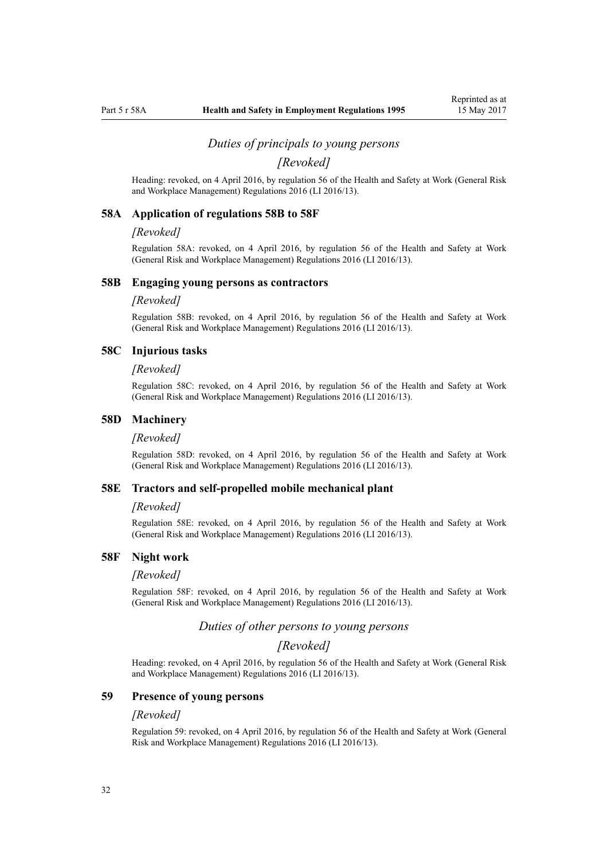#### *Duties of principals to young persons*

*[Revoked]*

<span id="page-31-0"></span>Heading: revoked, on 4 April 2016, by [regulation 56](http://prd-lgnz-nlb.prd.pco.net.nz/pdflink.aspx?id=DLM6727619) of the Health and Safety at Work (General Risk and Workplace Management) Regulations 2016 (LI 2016/13).

#### **58A Application of regulations 58B to 58F**

#### *[Revoked]*

Regulation 58A: revoked, on 4 April 2016, by [regulation 56](http://prd-lgnz-nlb.prd.pco.net.nz/pdflink.aspx?id=DLM6727619) of the Health and Safety at Work (General Risk and Workplace Management) Regulations 2016 (LI 2016/13).

#### **58B Engaging young persons as contractors**

#### *[Revoked]*

Regulation 58B: revoked, on 4 April 2016, by [regulation 56](http://prd-lgnz-nlb.prd.pco.net.nz/pdflink.aspx?id=DLM6727619) of the Health and Safety at Work (General Risk and Workplace Management) Regulations 2016 (LI 2016/13).

#### **58C Injurious tasks**

#### *[Revoked]*

Regulation 58C: revoked, on 4 April 2016, by [regulation 56](http://prd-lgnz-nlb.prd.pco.net.nz/pdflink.aspx?id=DLM6727619) of the Health and Safety at Work (General Risk and Workplace Management) Regulations 2016 (LI 2016/13).

#### **58D Machinery**

#### *[Revoked]*

Regulation 58D: revoked, on 4 April 2016, by [regulation 56](http://prd-lgnz-nlb.prd.pco.net.nz/pdflink.aspx?id=DLM6727619) of the Health and Safety at Work (General Risk and Workplace Management) Regulations 2016 (LI 2016/13).

## **58E Tractors and self-propelled mobile mechanical plant**

#### *[Revoked]*

Regulation 58E: revoked, on 4 April 2016, by [regulation 56](http://prd-lgnz-nlb.prd.pco.net.nz/pdflink.aspx?id=DLM6727619) of the Health and Safety at Work (General Risk and Workplace Management) Regulations 2016 (LI 2016/13).

### **58F Night work**

#### *[Revoked]*

Regulation 58F: revoked, on 4 April 2016, by [regulation 56](http://prd-lgnz-nlb.prd.pco.net.nz/pdflink.aspx?id=DLM6727619) of the Health and Safety at Work (General Risk and Workplace Management) Regulations 2016 (LI 2016/13).

## *Duties of other persons to young persons*

#### *[Revoked]*

Heading: revoked, on 4 April 2016, by [regulation 56](http://prd-lgnz-nlb.prd.pco.net.nz/pdflink.aspx?id=DLM6727619) of the Health and Safety at Work (General Risk and Workplace Management) Regulations 2016 (LI 2016/13).

#### **59 Presence of young persons**

#### *[Revoked]*

Regulation 59: revoked, on 4 April 2016, by [regulation 56](http://prd-lgnz-nlb.prd.pco.net.nz/pdflink.aspx?id=DLM6727619) of the Health and Safety at Work (General Risk and Workplace Management) Regulations 2016 (LI 2016/13).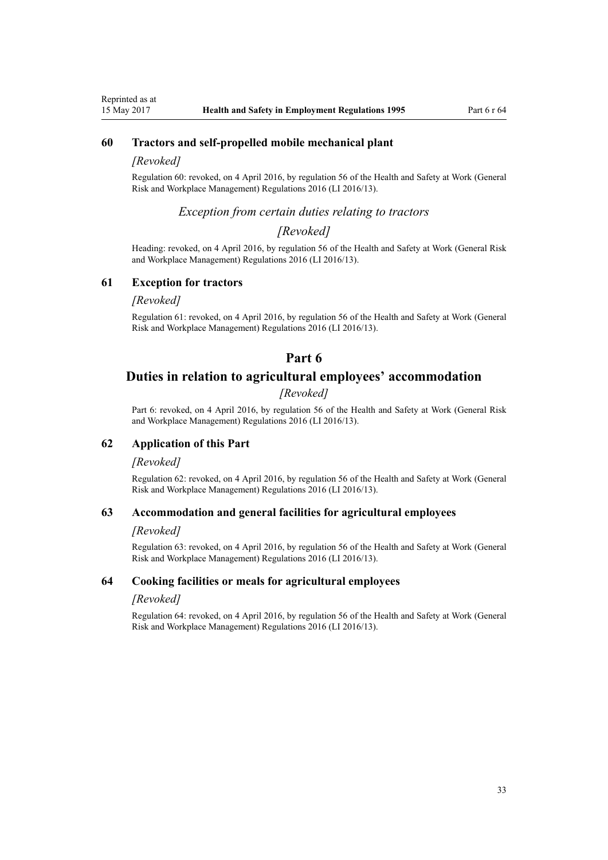## <span id="page-32-0"></span>**60 Tractors and self-propelled mobile mechanical plant**

#### *[Revoked]*

Regulation 60: revoked, on 4 April 2016, by [regulation 56](http://prd-lgnz-nlb.prd.pco.net.nz/pdflink.aspx?id=DLM6727619) of the Health and Safety at Work (General Risk and Workplace Management) Regulations 2016 (LI 2016/13).

## *Exception from certain duties relating to tractors*

## *[Revoked]*

Heading: revoked, on 4 April 2016, by [regulation 56](http://prd-lgnz-nlb.prd.pco.net.nz/pdflink.aspx?id=DLM6727619) of the Health and Safety at Work (General Risk and Workplace Management) Regulations 2016 (LI 2016/13).

## **61 Exception for tractors**

#### *[Revoked]*

Regulation 61: revoked, on 4 April 2016, by [regulation 56](http://prd-lgnz-nlb.prd.pco.net.nz/pdflink.aspx?id=DLM6727619) of the Health and Safety at Work (General Risk and Workplace Management) Regulations 2016 (LI 2016/13).

## **Part 6**

## **Duties in relation to agricultural employees' accommodation**

## *[Revoked]*

Part 6: revoked, on 4 April 2016, by [regulation 56](http://prd-lgnz-nlb.prd.pco.net.nz/pdflink.aspx?id=DLM6727619) of the Health and Safety at Work (General Risk and Workplace Management) Regulations 2016 (LI 2016/13).

## **62 Application of this Part**

#### *[Revoked]*

Regulation 62: revoked, on 4 April 2016, by [regulation 56](http://prd-lgnz-nlb.prd.pco.net.nz/pdflink.aspx?id=DLM6727619) of the Health and Safety at Work (General Risk and Workplace Management) Regulations 2016 (LI 2016/13).

#### **63 Accommodation and general facilities for agricultural employees**

### *[Revoked]*

Regulation 63: revoked, on 4 April 2016, by [regulation 56](http://prd-lgnz-nlb.prd.pco.net.nz/pdflink.aspx?id=DLM6727619) of the Health and Safety at Work (General Risk and Workplace Management) Regulations 2016 (LI 2016/13).

#### **64 Cooking facilities or meals for agricultural employees**

#### *[Revoked]*

Regulation 64: revoked, on 4 April 2016, by [regulation 56](http://prd-lgnz-nlb.prd.pco.net.nz/pdflink.aspx?id=DLM6727619) of the Health and Safety at Work (General Risk and Workplace Management) Regulations 2016 (LI 2016/13).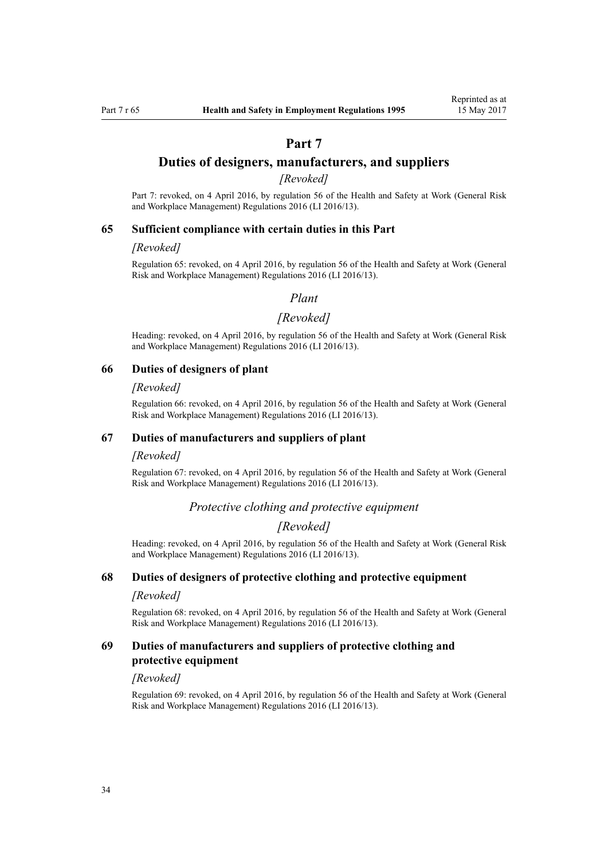## **Part 7**

## <span id="page-33-0"></span>**Duties of designers, manufacturers, and suppliers**

## *[Revoked]*

Part 7: revoked, on 4 April 2016, by [regulation 56](http://prd-lgnz-nlb.prd.pco.net.nz/pdflink.aspx?id=DLM6727619) of the Health and Safety at Work (General Risk and Workplace Management) Regulations 2016 (LI 2016/13).

#### **65 Sufficient compliance with certain duties in this Part**

#### *[Revoked]*

Regulation 65: revoked, on 4 April 2016, by [regulation 56](http://prd-lgnz-nlb.prd.pco.net.nz/pdflink.aspx?id=DLM6727619) of the Health and Safety at Work (General Risk and Workplace Management) Regulations 2016 (LI 2016/13).

## *Plant*

#### *[Revoked]*

Heading: revoked, on 4 April 2016, by [regulation 56](http://prd-lgnz-nlb.prd.pco.net.nz/pdflink.aspx?id=DLM6727619) of the Health and Safety at Work (General Risk and Workplace Management) Regulations 2016 (LI 2016/13).

#### **66 Duties of designers of plant**

#### *[Revoked]*

Regulation 66: revoked, on 4 April 2016, by [regulation 56](http://prd-lgnz-nlb.prd.pco.net.nz/pdflink.aspx?id=DLM6727619) of the Health and Safety at Work (General Risk and Workplace Management) Regulations 2016 (LI 2016/13).

#### **67 Duties of manufacturers and suppliers of plant**

#### *[Revoked]*

Regulation 67: revoked, on 4 April 2016, by [regulation 56](http://prd-lgnz-nlb.prd.pco.net.nz/pdflink.aspx?id=DLM6727619) of the Health and Safety at Work (General Risk and Workplace Management) Regulations 2016 (LI 2016/13).

## *Protective clothing and protective equipment*

## *[Revoked]*

Heading: revoked, on 4 April 2016, by [regulation 56](http://prd-lgnz-nlb.prd.pco.net.nz/pdflink.aspx?id=DLM6727619) of the Health and Safety at Work (General Risk and Workplace Management) Regulations 2016 (LI 2016/13).

#### **68 Duties of designers of protective clothing and protective equipment**

#### *[Revoked]*

Regulation 68: revoked, on 4 April 2016, by [regulation 56](http://prd-lgnz-nlb.prd.pco.net.nz/pdflink.aspx?id=DLM6727619) of the Health and Safety at Work (General Risk and Workplace Management) Regulations 2016 (LI 2016/13).

## **69 Duties of manufacturers and suppliers of protective clothing and protective equipment**

#### *[Revoked]*

Regulation 69: revoked, on 4 April 2016, by [regulation 56](http://prd-lgnz-nlb.prd.pco.net.nz/pdflink.aspx?id=DLM6727619) of the Health and Safety at Work (General Risk and Workplace Management) Regulations 2016 (LI 2016/13).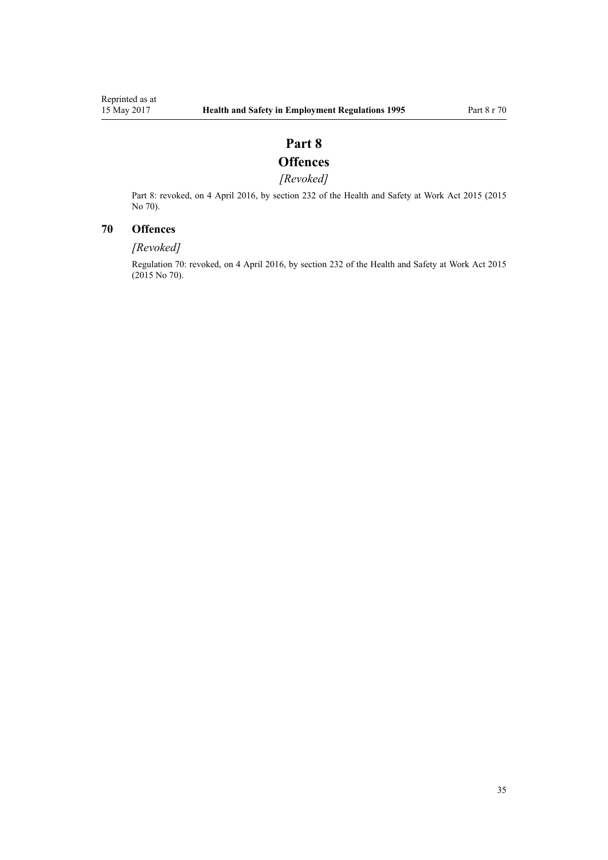# **Part 8**

# **Offences**

## *[Revoked]*

<span id="page-34-0"></span>Part 8: revoked, on 4 April 2016, by [section 232](http://prd-lgnz-nlb.prd.pco.net.nz/pdflink.aspx?id=DLM5977236) of the Health and Safety at Work Act 2015 (2015 No 70).

## **70 Offences**

## *[Revoked]*

Regulation 70: revoked, on 4 April 2016, by [section 232](http://prd-lgnz-nlb.prd.pco.net.nz/pdflink.aspx?id=DLM5977236) of the Health and Safety at Work Act 2015 (2015 No 70).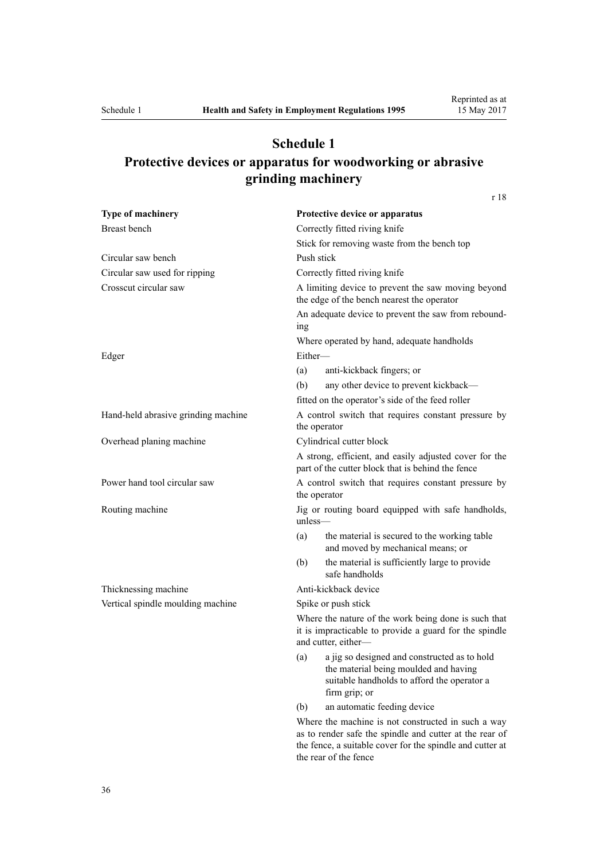# <span id="page-35-0"></span>**Schedule 1 Protective devices or apparatus for woodworking or abrasive grinding machinery**

[r 18](#page-13-0)

| Type of machinery                   | Protective device or apparatus                                                                                                                                                                      |  |  |
|-------------------------------------|-----------------------------------------------------------------------------------------------------------------------------------------------------------------------------------------------------|--|--|
| <b>Breast</b> bench                 | Correctly fitted riving knife                                                                                                                                                                       |  |  |
|                                     | Stick for removing waste from the bench top<br>Push stick                                                                                                                                           |  |  |
| Circular saw bench                  |                                                                                                                                                                                                     |  |  |
| Circular saw used for ripping       | Correctly fitted riving knife                                                                                                                                                                       |  |  |
| Crosscut circular saw               | A limiting device to prevent the saw moving beyond<br>the edge of the bench nearest the operator                                                                                                    |  |  |
|                                     | An adequate device to prevent the saw from rebound-<br>1ng                                                                                                                                          |  |  |
|                                     | Where operated by hand, adequate handholds                                                                                                                                                          |  |  |
| Edger                               | Either-                                                                                                                                                                                             |  |  |
|                                     | anti-kickback fingers; or<br>(a)                                                                                                                                                                    |  |  |
|                                     | any other device to prevent kickback—<br>(b)                                                                                                                                                        |  |  |
|                                     | fitted on the operator's side of the feed roller                                                                                                                                                    |  |  |
| Hand-held abrasive grinding machine | A control switch that requires constant pressure by<br>the operator                                                                                                                                 |  |  |
| Overhead planing machine            | Cylindrical cutter block                                                                                                                                                                            |  |  |
|                                     | A strong, efficient, and easily adjusted cover for the<br>part of the cutter block that is behind the fence                                                                                         |  |  |
| Power hand tool circular saw        | A control switch that requires constant pressure by<br>the operator                                                                                                                                 |  |  |
| Routing machine                     | Jig or routing board equipped with safe handholds,<br>$unless$ —                                                                                                                                    |  |  |
|                                     | the material is secured to the working table<br>(a)<br>and moved by mechanical means; or                                                                                                            |  |  |
|                                     | the material is sufficiently large to provide<br>(b)<br>safe handholds                                                                                                                              |  |  |
| Thicknessing machine                | Anti-kickback device                                                                                                                                                                                |  |  |
| Vertical spindle moulding machine   | Spike or push stick                                                                                                                                                                                 |  |  |
|                                     | Where the nature of the work being done is such that<br>it is impracticable to provide a guard for the spindle<br>and cutter, either-                                                               |  |  |
|                                     | a jig so designed and constructed as to hold<br>(a)<br>the material being moulded and having<br>suitable handholds to afford the operator a<br>firm grip; or                                        |  |  |
|                                     | an automatic feeding device<br>(b)                                                                                                                                                                  |  |  |
|                                     | Where the machine is not constructed in such a way<br>as to render safe the spindle and cutter at the rear of<br>the fence, a suitable cover for the spindle and cutter at<br>the rear of the fence |  |  |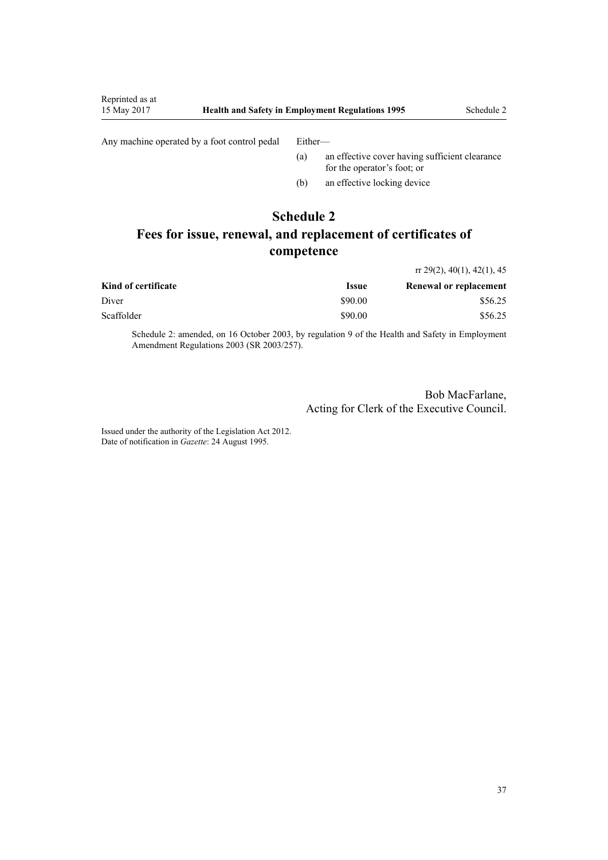Any machine operated by a foot control pedal Either-

<span id="page-36-0"></span>Reprinted as at

- (a) an effective cover having sufficient clearance for the operator's foot; or
- (b) an effective locking device

## **Schedule 2**

# **Fees for issue, renewal, and replacement of certificates of competence**

|                     |                            | $\pi$ 29(2), 40(1), 42(1), 45 |  |
|---------------------|----------------------------|-------------------------------|--|
| Kind of certificate | <i><u><b>Issue</b></u></i> | <b>Renewal or replacement</b> |  |
| Diver               | \$90.00                    | \$56.25                       |  |
| Scaffolder          | \$90.00                    | \$56.25                       |  |

Schedule 2: amended, on 16 October 2003, by [regulation 9](http://prd-lgnz-nlb.prd.pco.net.nz/pdflink.aspx?id=DLM212578) of the Health and Safety in Employment Amendment Regulations 2003 (SR 2003/257).

> Bob MacFarlane, Acting for Clerk of the Executive Council.

Issued under the authority of the [Legislation Act 2012](http://prd-lgnz-nlb.prd.pco.net.nz/pdflink.aspx?id=DLM2997643). Date of notification in *Gazette*: 24 August 1995.